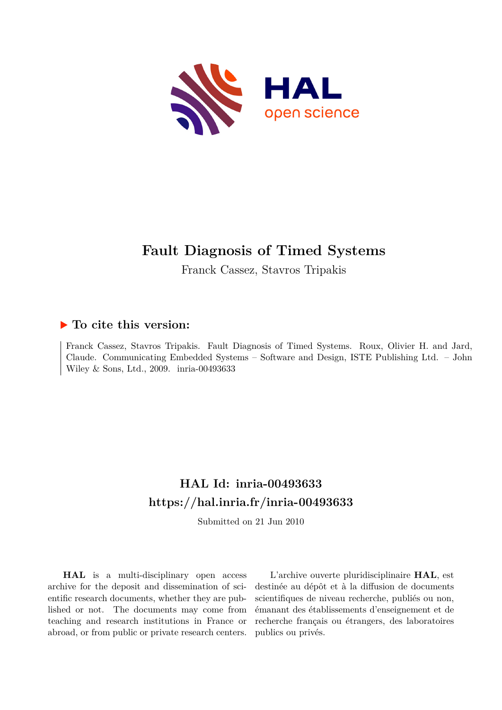

# **Fault Diagnosis of Timed Systems**

Franck Cassez, Stavros Tripakis

# **To cite this version:**

Franck Cassez, Stavros Tripakis. Fault Diagnosis of Timed Systems. Roux, Olivier H. and Jard, Claude. Communicating Embedded Systems – Software and Design, ISTE Publishing Ltd. – John Wiley & Sons, Ltd., 2009. inria-00493633

# **HAL Id: inria-00493633 <https://hal.inria.fr/inria-00493633>**

Submitted on 21 Jun 2010

**HAL** is a multi-disciplinary open access archive for the deposit and dissemination of scientific research documents, whether they are published or not. The documents may come from teaching and research institutions in France or abroad, or from public or private research centers.

L'archive ouverte pluridisciplinaire **HAL**, est destinée au dépôt et à la diffusion de documents scientifiques de niveau recherche, publiés ou non, émanant des établissements d'enseignement et de recherche français ou étrangers, des laboratoires publics ou privés.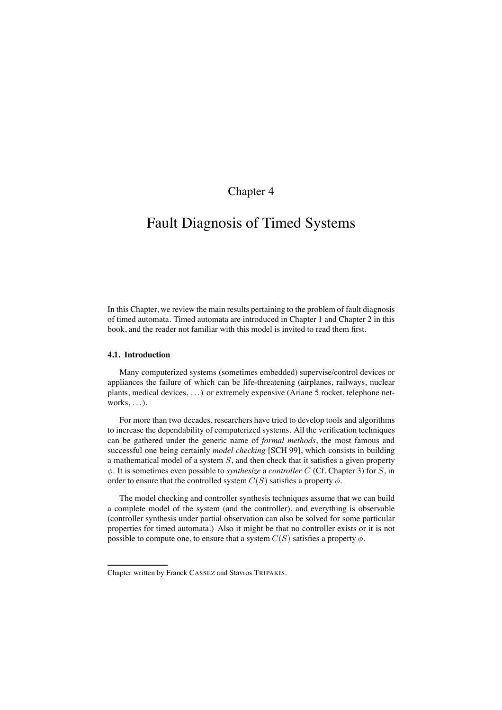# Chapter 4

# Fault Diagnosis of Timed Systems

In this Chapter, we review the main results pertaining to the problem of fault diagnosis of timed automata. Timed automata are introduced in Chapter 1 and Chapter 2 in this book, and the reader not familiar with this model is invited to read them first.

# **4.1. Introduction**

Many computerized systems (sometimes embedded) supervise/control devices or appliances the failure of which can be life-threatening (airplanes, railways, nuclear plants, medical devices, . . . ) or extremely expensive (Ariane 5 rocket, telephone networks,  $\dots$ ).

For more than two decades, researchers have tried to develop tools and algorithms to increase the dependability of computerized systems. All the verification techniques can be gathered under the generic name of *formal methods*, the most famous and successful one being certainly *model checking* [SCH 99], which consists in building a mathematical model of a system  $S$ , and then check that it satisfies a given property φ. It is sometimes even possible to *synthesize* a *controller* C (Cf. Chapter 3) for S, in order to ensure that the controlled system  $C(S)$  satisfies a property  $\phi$ .

The model checking and controller synthesis techniques assume that we can build a complete model of the system (and the controller), and everything is observable (controller synthesis under partial observation can also be solved for some particular properties for timed automata.) Also it might be that no controller exists or it is not possible to compute one, to ensure that a system  $C(S)$  satisfies a property  $\phi$ .

Chapter written by Franck CASSEZ and Stavros TRIPAKIS.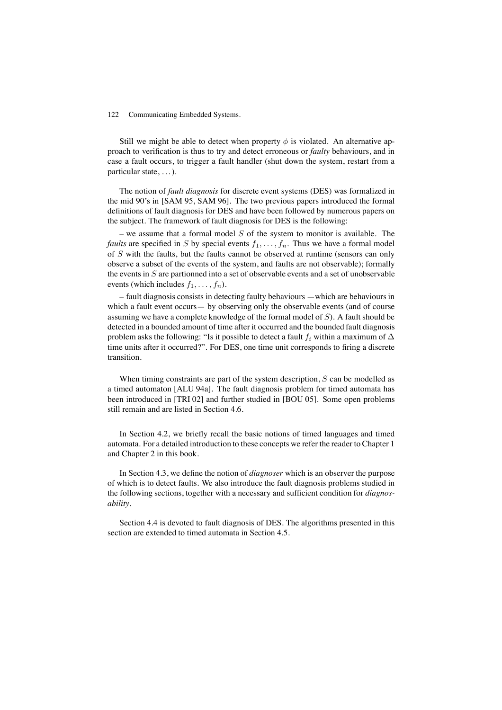Still we might be able to detect when property  $\phi$  is violated. An alternative approach to verification is thus to try and detect erroneous or *faulty* behaviours, and in case a fault occurs, to trigger a fault handler (shut down the system, restart from a particular state, . . . ).

The notion of *fault diagnosis* for discrete event systems (DES) was formalized in the mid 90's in [SAM 95, SAM 96]. The two previous papers introduced the formal definitions of fault diagnosis for DES and have been followed by numerous papers on the subject. The framework of fault diagnosis for DES is the following:

– we assume that a formal model  $S$  of the system to monitor is available. The *faults* are specified in S by special events  $f_1, \ldots, f_n$ . Thus we have a formal model of S with the faults, but the faults cannot be observed at runtime (sensors can only observe a subset of the events of the system, and faults are not observable); formally the events in  $S$  are partionned into a set of observable events and a set of unobservable events (which includes  $f_1, \ldots, f_n$ ).

– fault diagnosis consists in detecting faulty behaviours —which are behaviours in which a fault event occurs— by observing only the observable events (and of course assuming we have a complete knowledge of the formal model of S). A fault should be detected in a bounded amount of time after it occurred and the bounded fault diagnosis problem asks the following: "Is it possible to detect a fault  $f_i$  within a maximum of  $\Delta$ time units after it occurred?". For DES, one time unit corresponds to firing a discrete transition.

When timing constraints are part of the system description,  $S$  can be modelled as a timed automaton [ALU 94a]. The fault diagnosis problem for timed automata has been introduced in [TRI 02] and further studied in [BOU 05]. Some open problems still remain and are listed in Section 4.6.

In Section 4.2, we briefly recall the basic notions of timed languages and timed automata. For a detailed introduction to these concepts we refer the reader to Chapter 1 and Chapter 2 in this book.

In Section 4.3, we define the notion of *diagnoser* which is an observer the purpose of which is to detect faults. We also introduce the fault diagnosis problems studied in the following sections, together with a necessary and sufficient condition for *diagnosability*.

Section 4.4 is devoted to fault diagnosis of DES. The algorithms presented in this section are extended to timed automata in Section 4.5.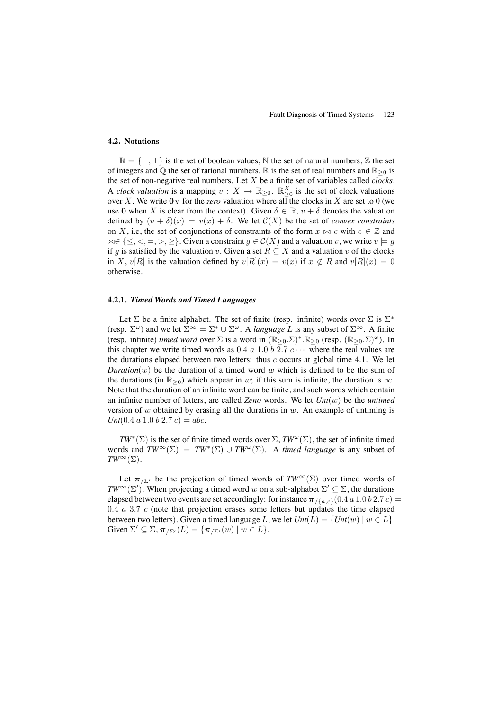# **4.2. Notations**

 $\mathbb{B} = \{\top, \bot\}$  is the set of boolean values, N the set of natural numbers, Z the set of integers and  $\mathbb Q$  the set of rational numbers.  $\mathbb R$  is the set of real numbers and  $\mathbb R_{\geq 0}$  is the set of non-negative real numbers. Let X be a finite set of variables called *clocks*. A *clock valuation* is a mapping  $v : X \to \mathbb{R}_{\geq 0}$ .  $\mathbb{R}_{\geq 0}^X$  is the set of clock valuations over X. We write  $\mathbf{0}_X$  for the *zero* valuation where all the clocks in X are set to 0 (we use 0 when X is clear from the context). Given  $\delta \in \mathbb{R}$ ,  $v + \delta$  denotes the valuation defined by  $(v + \delta)(x) = v(x) + \delta$ . We let  $C(X)$  be the set of *convex constraints* on X, i.e, the set of conjunctions of constraints of the form  $x \bowtie c$  with  $c \in \mathbb{Z}$  and  $\bowtie \in \{\leq, <, =, >, \geq\}$ . Given a constraint  $g \in \mathcal{C}(X)$  and a valuation v, we write  $v \models g$ if g is satisfied by the valuation v. Given a set  $R \subseteq X$  and a valuation v of the clocks in X,  $v[R]$  is the valuation defined by  $v[R](x) = v(x)$  if  $x \notin R$  and  $v[R](x) = 0$ otherwise.

# **4.2.1.** *Timed Words and Timed Languages*

Let  $\Sigma$  be a finite alphabet. The set of finite (resp. infinite) words over  $\Sigma$  is  $\Sigma^*$ (resp.  $\Sigma^{\omega}$ ) and we let  $\Sigma^{\infty} = \Sigma^* \cup \Sigma^{\omega}$ . A *language* L is any subset of  $\Sigma^{\infty}$ . A finite (resp. infinite) *timed word* over  $\Sigma$  is a word in  $(\mathbb{R}_{>0}.\Sigma)^* \cdot \mathbb{R}_{>0}$  (resp.  $(\mathbb{R}_{>0}.\Sigma)^{\omega}$ ). In this chapter we write timed words as  $0.4 a 1.0 b 2.7 c \cdots$  where the real values are the durations elapsed between two letters: thus  $c$  occurs at global time 4.1. We let *Duration* $(w)$  be the duration of a timed word w which is defined to be the sum of the durations (in  $\mathbb{R}_{>0}$ ) which appear in w; if this sum is infinite, the duration is  $\infty$ . Note that the duration of an infinite word can be finite, and such words which contain an infinite number of letters, are called *Zeno* words. We let *Unt*(w) be the *untimed* version of  $w$  obtained by erasing all the durations in  $w$ . An example of untiming is *Unt*(0.4 *a* 1.0 *b* 2.7 *c*) = *abc*.

 $TW^*(\Sigma)$  is the set of finite timed words over  $\Sigma$ ,  $TW^{\omega}(\Sigma)$ , the set of infinite timed words and  $TW^{\infty}(\Sigma) = TW^*(\Sigma) \cup TW^{\omega}(\Sigma)$ . A *timed language* is any subset of  $TW^{\infty}(\Sigma)$ .

Let  $\pi_{\sqrt{\Sigma'}}$  be the projection of timed words of  $TW^{\infty}(\Sigma)$  over timed words of *TW*<sup>∞</sup>(Σ'). When projecting a timed word w on a sub-alphabet  $\Sigma' \subseteq \Sigma$ , the durations elapsed between two events are set accordingly: for instance  $\pi_{/\{a,c\}}(0.4 \, a \, 1.0 \, b \, 2.7 \, c)$  $0.4$   $a$   $3.7$   $c$  (note that projection erases some letters but updates the time elapsed between two letters). Given a timed language L, we let  $Unt(L) = \{Unt(w) | w \in L\}$ . Given  $\Sigma' \subseteq \Sigma$ ,  $\pi_{\Sigma'}(L) = {\pi_{\Sigma'}(w) \mid w \in L}.$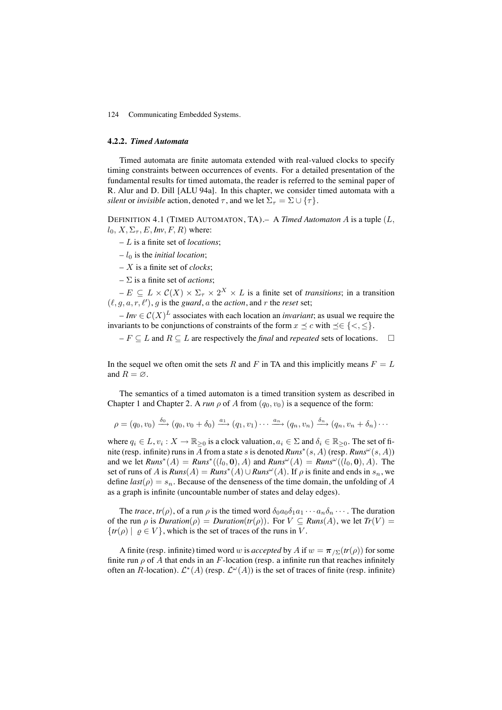#### **4.2.2.** *Timed Automata*

Timed automata are finite automata extended with real-valued clocks to specify timing constraints between occurrences of events. For a detailed presentation of the fundamental results for timed automata, the reader is referred to the seminal paper of R. Alur and D. Dill [ALU 94a]. In this chapter, we consider timed automata with a *silent* or *invisible* action, denoted  $\tau$ , and we let  $\Sigma_{\tau} = \Sigma \cup {\tau}$ .

DEFINITION 4.1 (TIMED AUTOMATON, TA).– A *Timed Automaton* A is a tuple (L,  $l_0, X, \Sigma_\tau, E, Inv, F, R$ ) where:

– L is a finite set of *locations*;

 $-l_0$  is the *initial location*;

– X is a finite set of *clocks*;

 $-\Sigma$  is a finite set of *actions*;

 $-E \subseteq L \times C(X) \times \Sigma_{\tau} \times 2^{X} \times L$  is a finite set of *transitions*; in a transition  $(\ell, g, a, r, \ell')$ , g is the *guard*, a the *action*, and r the *reset* set;

 $I - Inv \in C(X)^L$  associates with each location an *invariant*; as usual we require the invariants to be conjunctions of constraints of the form  $x \leq c$  with  $\leq \{ \leq, \leq \}$ .

 $-F \subseteq L$  and  $R \subseteq L$  are respectively the *final* and *repeated* sets of locations.  $\Box$ 

In the sequel we often omit the sets R and F in TA and this implicitly means  $F = L$ and  $R = \emptyset$ .

The semantics of a timed automaton is a timed transition system as described in Chapter 1 and Chapter 2. A *run*  $\rho$  of A from  $(q_0, v_0)$  is a sequence of the form:

$$
\rho = (q_0, v_0) \xrightarrow{\delta_0} (q_0, v_0 + \delta_0) \xrightarrow{a_1} (q_1, v_1) \cdots \xrightarrow{a_n} (q_n, v_n) \xrightarrow{\delta_n} (q_n, v_n + \delta_n) \cdots
$$

where  $q_i \in L$ ,  $v_i : X \to \mathbb{R}_{\geq 0}$  is a clock valuation,  $a_i \in \Sigma$  and  $\delta_i \in \mathbb{R}_{\geq 0}$ . The set of finite (resp. infinite) runs in A from a state s is denoted  $Runs^*(s, A)$  (resp.  $Runs^{\omega}(s, A))$ and we let  $Runs^*(A) = Runs^*((l_0, 0), A)$  and  $Runs^{\omega}(A) = Runs^{\omega}((l_0, 0), A)$ . The set of runs of A is  $Runs(A) = Runs^*(A) \cup Runs^{\omega}(A)$ . If  $\rho$  is finite and ends in  $s_n$ , we define  $last(\rho) = s_n$ . Because of the denseness of the time domain, the unfolding of A as a graph is infinite (uncountable number of states and delay edges).

The *trace*,  $tr(\rho)$ , of a run  $\rho$  is the timed word  $\delta_0 a_0 \delta_1 a_1 \cdots a_n \delta_n \cdots$ . The duration of the run  $\rho$  is *Duration*( $\rho$ ) = *Duration*( $tr(\rho)$ ). For  $V \subseteq$  *Runs*(A), we let  $Tr(V)$  =  ${tr(\rho) | \rho \in V}$ , which is the set of traces of the runs in V.

A finite (resp. infinite) timed word w is *accepted* by A if  $w = \pi_{\sqrt{\Sigma}}(tr(\rho))$  for some finite run  $\rho$  of A that ends in an F-location (resp. a infinite run that reaches infinitely often an R-location).  $\mathcal{L}^*(A)$  (resp.  $\mathcal{L}^{\omega}(A)$ ) is the set of traces of finite (resp. infinite)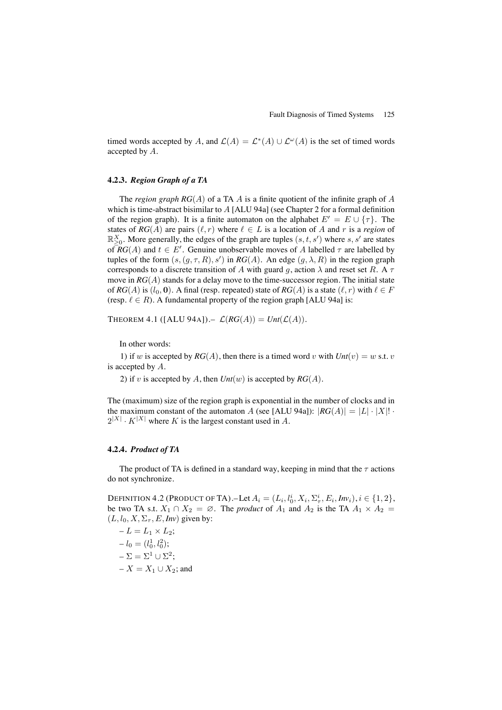timed words accepted by A, and  $\mathcal{L}(A) = \mathcal{L}^*(A) \cup \mathcal{L}^{\omega}(A)$  is the set of timed words accepted by A.

# **4.2.3.** *Region Graph of a TA*

The *region graph RG*(A) of a TA A is a finite quotient of the infinite graph of A which is time-abstract bisimilar to A [ALU 94a] (see Chapter 2 for a formal definition of the region graph). It is a finite automaton on the alphabet  $E' = E \cup \{\tau\}$ . The states of  $RG(A)$  are pairs  $(\ell, r)$  where  $\ell \in L$  is a location of A and r is a *region* of  $\mathbb{R}_{\geq 0}^X$ . More generally, the edges of the graph are tuples  $(s, t, s')$  where  $s, s'$  are states of  $RG(A)$  and  $t \in E'$ . Genuine unobservable moves of A labelled  $\tau$  are labelled by tuples of the form  $(s, (g, \tau, R), s')$  in  $RG(A)$ . An edge  $(g, \lambda, R)$  in the region graph corresponds to a discrete transition of A with guard g, action  $\lambda$  and reset set R. A  $\tau$ move in *RG*(A) stands for a delay move to the time-successor region. The initial state of *RG*(*A*) is  $(l_0, 0)$ . A final (resp. repeated) state of *RG*(*A*) is a state  $(l, r)$  with  $l \in F$ (resp.  $\ell \in R$ ). A fundamental property of the region graph [ALU 94a] is:

THEOREM 4.1 ( $[ALU 94A]$ ).  $\mathcal{L}(RG(A)) = \text{Unt}(\mathcal{L}(A)).$ 

In other words:

1) if w is accepted by  $RG(A)$ , then there is a timed word v with  $Unt(v) = w$  s.t. v is accepted by A.

2) if v is accepted by A, then  $Unt(w)$  is accepted by  $RG(A)$ .

The (maximum) size of the region graph is exponential in the number of clocks and in the maximum constant of the automaton A (see [ALU 94a]):  $|RG(A)| = |L| \cdot |X|!$ .  $2^{|X|} \cdot K^{|X|}$  where K is the largest constant used in A.

# **4.2.4.** *Product of TA*

The product of TA is defined in a standard way, keeping in mind that the  $\tau$  actions do not synchronize.

DEFINITION 4.2 (PRODUCT OF TA).—Let  $A_i = (L_i, l_0^i, X_i, \Sigma_{\tau}^i, E_i, Inv_i), i \in \{1, 2\},$ be two TA s.t.  $X_1 \cap X_2 = \emptyset$ . The *product* of  $A_1$  and  $A_2$  is the TA  $A_1 \times A_2 =$  $(L, l_0, X, \Sigma_\tau, E, Inv)$  given by:

 $-L = L_1 \times L_2$ ;  $-l_0=(l_0^1, l_0^2);$  $-\Sigma = \Sigma^1 \cup \Sigma^2$ ; –  $X = X_1 \cup X_2$ ; and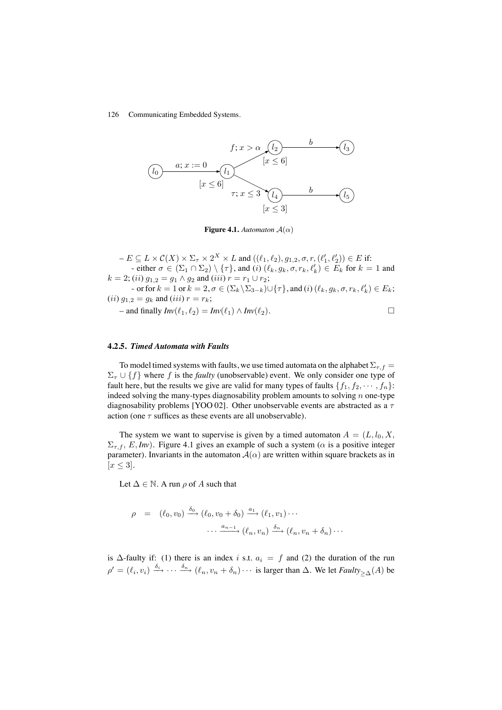

**Figure 4.1.** *Automaton*  $A(\alpha)$ 

 $-E \subseteq L \times C(X) \times \Sigma_{\tau} \times 2^X \times L$  and  $((\ell_1, \ell_2), g_{1,2}, \sigma, r, (\ell'_1, \ell'_2)) \in E$  if: - either  $\sigma \in (\Sigma_1 \cap \Sigma_2) \setminus \{\tau\}$ , and  $(i)$   $(\ell_k, g_k, \sigma, r_k, \ell'_k) \in E_k$  for  $k = 1$  and  $k = 2$ ; (*ii*)  $g_{1,2} = g_1 \wedge g_2$  and (*iii*)  $r = r_1 \cup r_2$ ; - or for  $k = 1$  or  $k = 2, \sigma \in (\Sigma_k \backslash \Sigma_{3-k}) \cup \{\tau\}$ , and  $(i)$   $(\ell_k, g_k, \sigma, r_k, \ell'_k) \in E_k$ ; (*ii*)  $g_{1,2} = g_k$  and (*iii*)  $r = r_k$ ;  $-$  and finally  $Inv(\ell_1, \ell_2) = Inv(\ell_1) \wedge Inv(\ell_2).$  □

# **4.2.5.** *Timed Automata with Faults*

To model timed systems with faults, we use timed automata on the alphabet  $\Sigma_{\tau,f}$  =  $\Sigma_{\tau} \cup \{f\}$  where f is the *faulty* (unobservable) event. We only consider one type of fault here, but the results we give are valid for many types of faults  $\{f_1, f_2, \dots, f_n\}$ : indeed solving the many-types diagnosability problem amounts to solving  $n$  one-type diagnosability problems [YOO 02]. Other unobservable events are abstracted as a  $\tau$ action (one  $\tau$  suffices as these events are all unobservable).

The system we want to supervise is given by a timed automaton  $A = (L, l_0, X,$  $\Sigma_{\tau, f}$ , E, Inv). Figure 4.1 gives an example of such a system ( $\alpha$  is a positive integer parameter). Invariants in the automaton  $A(\alpha)$  are written within square brackets as in  $[x \leq 3].$ 

Let  $\Delta \in \mathbb{N}$ . A run  $\rho$  of A such that

$$
\rho = (\ell_0, v_0) \xrightarrow{\delta_0} (\ell_0, v_0 + \delta_0) \xrightarrow{a_1} (\ell_1, v_1) \cdots
$$

$$
\cdots \xrightarrow{a_{n-1}} (\ell_n, v_n) \xrightarrow{\delta_n} (\ell_n, v_n + \delta_n) \cdots
$$

is  $\Delta$ -faulty if: (1) there is an index i s.t.  $a_i = f$  and (2) the duration of the run  $\rho' = (\ell_i, v_i) \xrightarrow{\delta_i} \cdots \xrightarrow{\delta_n} (\ell_n, v_n + \delta_n) \cdots$  is larger than  $\Delta$ . We let *Faulty*<sub>> $\Delta$ </sub>(*A*) be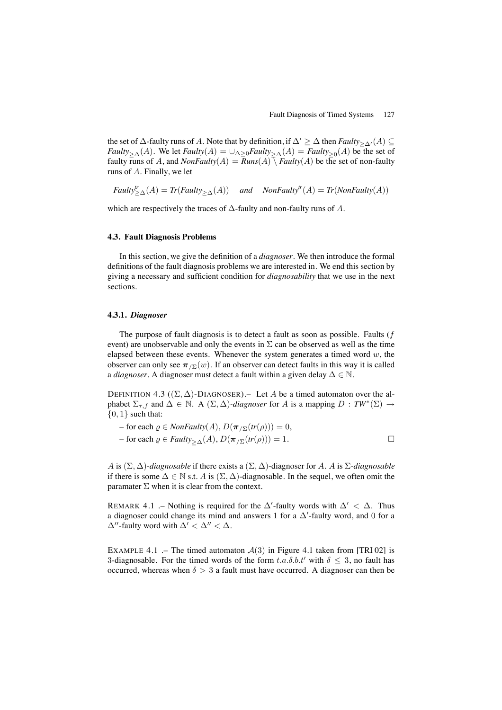the set of  $\Delta$ -faulty runs of A. Note that by definition, if  $\Delta' \geq \Delta$  then *Faulty*<sub> $\geq \Delta'$ </sub> (A) ⊆ *Faulty* $>_{\Delta}(A)$ . We let *Faulty*(A) =  $\cup_{\Delta\geq 0}$ *Faulty* $>_{\Delta}(A)$  = *Faulty* $>_{0}(A)$  be the set of faulty runs of A, and  $NonFaulty(A) = Runs(A) \bar{X}$  *Faulty*(A) be the set of non-faulty runs of A. Finally, we let

 $\text{$ *Faulty* $<sup>tr</sup> <sub>$\geq \Delta$ </sub>(A) = *Tr*(*Faulty*<sub> $\geq \Delta$ </sub>(A)) *and NonFaulty<sup>tr</sup>*(A) = *Tr*(*NonFaulty*(A))</sub>$ 

which are respectively the traces of  $\Delta$ -faulty and non-faulty runs of  $A$ .

# **4.3. Fault Diagnosis Problems**

In this section, we give the definition of a *diagnoser*. We then introduce the formal definitions of the fault diagnosis problems we are interested in. We end this section by giving a necessary and sufficient condition for *diagnosability* that we use in the next sections.

# **4.3.1.** *Diagnoser*

The purpose of fault diagnosis is to detect a fault as soon as possible. Faults  $(f)$ event) are unobservable and only the events in  $\Sigma$  can be observed as well as the time elapsed between these events. Whenever the system generates a timed word  $w$ , the observer can only see  $\pi_{\sqrt{\Sigma}}(w)$ . If an observer can detect faults in this way it is called a *diagnoser*. A diagnoser must detect a fault within a given delay ∆ ∈ N.

DEFINITION 4.3 ( $(\Sigma, \Delta)$ -DIAGNOSER). Let A be a timed automaton over the alphabet  $\Sigma_{\tau,f}$  and  $\Delta \in \mathbb{N}$ . A  $(\Sigma,\Delta)$ *-diagnoser* for A is a mapping  $D : TW^*(\Sigma) \to$  ${0, 1}$  such that:

- for each *ρ* ∈ *NonFaulty*(*A*), 
$$
D(π_{/Σ}(tr(ρ))) = 0
$$
,  
- for each *ρ* ∈ *Faulty*<sub>≥Δ</sub>(*A*),  $D(π_{/Σ}(tr(ρ))) = 1$ .

A is (Σ, ∆)*-diagnosable* if there exists a (Σ, ∆)-diagnoser for A. A is Σ*-diagnosable* if there is some  $\Delta \in \mathbb{N}$  s.t. A is  $(\Sigma, \Delta)$ -diagnosable. In the sequel, we often omit the paramater  $\Sigma$  when it is clear from the context.

REMARK 4.1 .– Nothing is required for the  $\Delta'$ -faulty words with  $\Delta' < \Delta$ . Thus a diagnoser could change its mind and answers 1 for a  $\Delta'$ -faulty word, and 0 for a  $\Delta''$ -faulty word with  $\Delta' < \Delta'' < \Delta$ .

EXAMPLE 4.1 .– The timed automaton  $A(3)$  in Figure 4.1 taken from [TRI 02] is 3-diagnosable. For the timed words of the form  $t.a.\delta.b.t'$  with  $\delta \leq 3$ , no fault has occurred, whereas when  $\delta > 3$  a fault must have occurred. A diagnoser can then be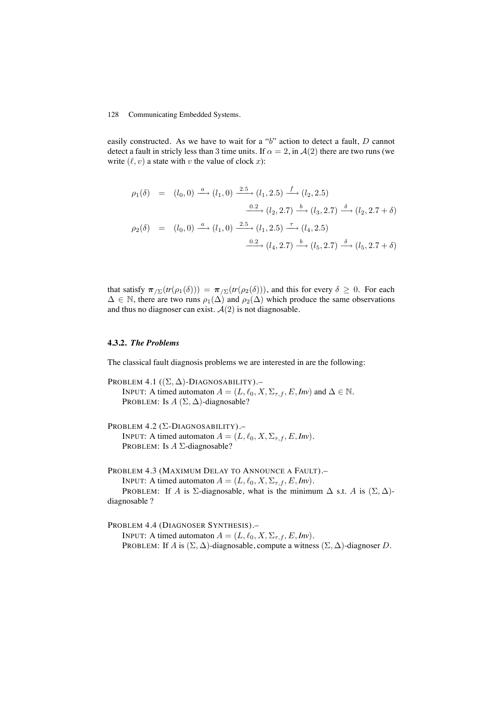easily constructed. As we have to wait for a "b" action to detect a fault, D cannot detect a fault in stricly less than 3 time units. If  $\alpha = 2$ , in  $\mathcal{A}(2)$  there are two runs (we write  $(\ell, v)$  a state with v the value of clock x):

$$
\rho_1(\delta) = (l_0, 0) \xrightarrow{a} (l_1, 0) \xrightarrow{2.5} (l_1, 2.5) \xrightarrow{f} (l_2, 2.5)
$$
  

$$
\xrightarrow{0.2} (l_2, 2.7) \xrightarrow{b} (l_3, 2.7) \xrightarrow{\delta} (l_2, 2.7 + \delta)
$$
  

$$
\rho_2(\delta) = (l_0, 0) \xrightarrow{a} (l_1, 0) \xrightarrow{2.5} (l_1, 2.5) \xrightarrow{f} (l_4, 2.5)
$$
  

$$
\xrightarrow{0.2} (l_4, 2.7) \xrightarrow{b} (l_5, 2.7) \xrightarrow{\delta} (l_5, 2.7 + \delta)
$$

that satisfy  $\pi_{/\Sigma}(tr(\rho_1(\delta))) = \pi_{/\Sigma}(tr(\rho_2(\delta)))$ , and this for every  $\delta \geq 0$ . For each  $\Delta \in \mathbb{N}$ , there are two runs  $\rho_1(\Delta)$  and  $\rho_2(\Delta)$  which produce the same observations and thus no diagnoser can exist.  $A(2)$  is not diagnosable.

### **4.3.2.** *The Problems*

The classical fault diagnosis problems we are interested in are the following:

PROBLEM 4.1  $((\Sigma, \Delta)$ -DIAGNOSABILITY).-INPUT: A timed automaton  $A = (L, \ell_0, X, \Sigma_{\tau, f}, E, Inv)$  and  $\Delta \in \mathbb{N}$ . PROBLEM: Is  $A(\Sigma, \Delta)$ -diagnosable?

PROBLEM 4.2 (Σ-DIAGNOSABILITY).– INPUT: A timed automaton  $A = (L, \ell_0, X, \Sigma_{\tau, f}, E, Inv)$ . PROBLEM: Is *A* Σ-diagnosable?

PROBLEM 4.3 (MAXIMUM DELAY TO ANNOUNCE A FAULT).– INPUT: A timed automaton  $A = (L, \ell_0, X, \Sigma_{\tau, f}, E, Inv)$ . PROBLEM: If A is  $\Sigma$ -diagnosable, what is the minimum  $\Delta$  s.t. A is  $(\Sigma, \Delta)$ diagnosable ?

PROBLEM 4.4 (DIAGNOSER SYNTHESIS).– INPUT: A timed automaton  $A = (L, \ell_0, X, \Sigma_{\tau, f}, E, Inv)$ . PROBLEM: If A is  $(\Sigma, \Delta)$ -diagnosable, compute a witness  $(\Sigma, \Delta)$ -diagnoser D.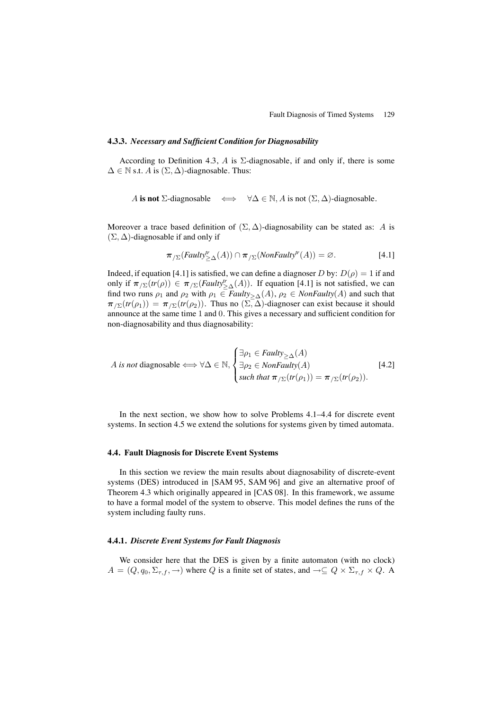#### **4.3.3.** *Necessary and Sufficient Condition for Diagnosability*

According to Definition 4.3, A is  $\Sigma$ -diagnosable, if and only if, there is some  $\Delta \in \mathbb{N}$  s.t. A is  $(\Sigma, \Delta)$ -diagnosable. Thus:

A is not 
$$
\Sigma
$$
-diagnosable  $\iff \forall \Delta \in \mathbb{N}, A$  is not  $(\Sigma, \Delta)$ -diagnosable.

Moreover a trace based definition of  $(\Sigma, \Delta)$ -diagnosability can be stated as: A is  $(\Sigma, \Delta)$ -diagnosable if and only if

$$
\pi_{/\Sigma}(Faulty^{\text{tr}}_{\geq \Delta}(A)) \cap \pi_{/\Sigma}(NonFaulty^{\text{tr}}(A)) = \varnothing.
$$
 [4.1]

Indeed, if equation [4.1] is satisfied, we can define a diagnoser D by:  $D(\rho) = 1$  if and only if  $\pi_{\sqrt{\Sigma}}(tr(\rho)) \in \pi_{\sqrt{\Sigma}}(Faulty_{\geq \Delta}^{\prime\prime}(A))$ . If equation [4.1] is not satisfied, we can find two runs  $\rho_1$  and  $\rho_2$  with  $\rho_1 \in \text{Faulty}_{\geq \Delta}(A), \rho_2 \in \text{NonFaulty}(A)$  and such that  $\pi_{\sqrt{\Sigma}}(tr(\rho_1)) = \pi_{\sqrt{\Sigma}}(tr(\rho_2))$ . Thus no  $(\Sigma, \Delta)$ -diagnoser can exist because it should announce at the same time 1 and 0. This gives a necessary and sufficient condition for non-diagnosability and thus diagnosability:

A is not diagonalize 
$$
\iff \forall \Delta \in \mathbb{N}, \begin{cases} \exists \rho_1 \in \text{Faulty}_{\geq \Delta}(A) \\ \exists \rho_2 \in \text{NonFaulty}(A) \\ \text{such that } \pi_{\text{/}\Sigma}(\text{tr}(\rho_1)) = \pi_{\text{/}\Sigma}(\text{tr}(\rho_2)). \end{cases}
$$
 [4.2]

In the next section, we show how to solve Problems 4.1–4.4 for discrete event systems. In section 4.5 we extend the solutions for systems given by timed automata.

#### **4.4. Fault Diagnosis for Discrete Event Systems**

In this section we review the main results about diagnosability of discrete-event systems (DES) introduced in [SAM 95, SAM 96] and give an alternative proof of Theorem 4.3 which originally appeared in [CAS 08]. In this framework, we assume to have a formal model of the system to observe. This model defines the runs of the system including faulty runs.

### **4.4.1.** *Discrete Event Systems for Fault Diagnosis*

We consider here that the DES is given by a finite automaton (with no clock)  $A = (Q, q_0, \Sigma_{\tau,f}, \to)$  where Q is a finite set of states, and  $\to \subseteq Q \times \Sigma_{\tau,f} \times Q$ . A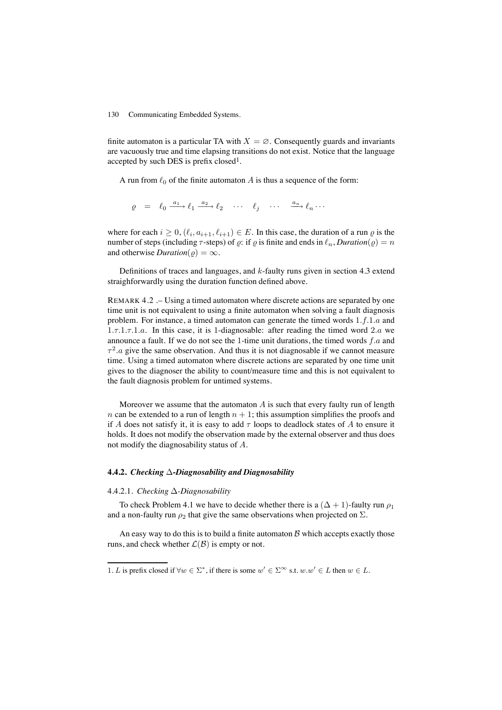finite automaton is a particular TA with  $X = \emptyset$ . Consequently guards and invariants are vacuously true and time elapsing transitions do not exist. Notice that the language accepted by such DES is prefix closed1.

A run from  $\ell_0$  of the finite automaton A is thus a sequence of the form:

$$
\varrho = \ell_0 \xrightarrow{a_1} \ell_1 \xrightarrow{a_2} \ell_2 \cdots \ell_j \cdots \xrightarrow{a_n} \ell_n \cdots
$$

where for each  $i \geq 0$ ,  $(\ell_i, a_{i+1}, \ell_{i+1}) \in E$ . In this case, the duration of a run  $\varrho$  is the number of steps (including  $\tau$ -steps) of  $\rho$ : if  $\rho$  is finite and ends in  $\ell_n$ , *Duration*( $\rho$ ) = n and otherwise  $Duration(\rho) = \infty$ .

Definitions of traces and languages, and  $k$ -faulty runs given in section 4.3 extend straighforwardly using the duration function defined above.

REMARK 4.2 .– Using a timed automaton where discrete actions are separated by one time unit is not equivalent to using a finite automaton when solving a fault diagnosis problem. For instance, a timed automaton can generate the timed words 1.f.1.a and  $1.\tau.1.\tau.1.a.$  In this case, it is 1-diagnosable: after reading the timed word  $2.a$  we announce a fault. If we do not see the 1-time unit durations, the timed words  $f.a$  and  $\tau^2$  a give the same observation. And thus it is not diagnosable if we cannot measure time. Using a timed automaton where discrete actions are separated by one time unit gives to the diagnoser the ability to count/measure time and this is not equivalent to the fault diagnosis problem for untimed systems.

Moreover we assume that the automaton  $A$  is such that every faulty run of length n can be extended to a run of length  $n + 1$ ; this assumption simplifies the proofs and if A does not satisfy it, it is easy to add  $\tau$  loops to deadlock states of A to ensure it holds. It does not modify the observation made by the external observer and thus does not modify the diagnosability status of A.

#### **4.4.2.** *Checking* ∆*-Diagnosability and Diagnosability*

#### 4.4.2.1. *Checking* ∆*-Diagnosability*

To check Problem 4.1 we have to decide whether there is a  $(\Delta + 1)$ -faulty run  $\rho_1$ and a non-faulty run  $\rho_2$  that give the same observations when projected on  $\Sigma$ .

An easy way to do this is to build a finite automaton  $\beta$  which accepts exactly those runs, and check whether  $\mathcal{L}(\mathcal{B})$  is empty or not.

<sup>1.</sup> L is prefix closed if  $\forall w \in \Sigma^*$ , if there is some  $w' \in \Sigma^\infty$  s.t.  $w.w' \in L$  then  $w \in L$ .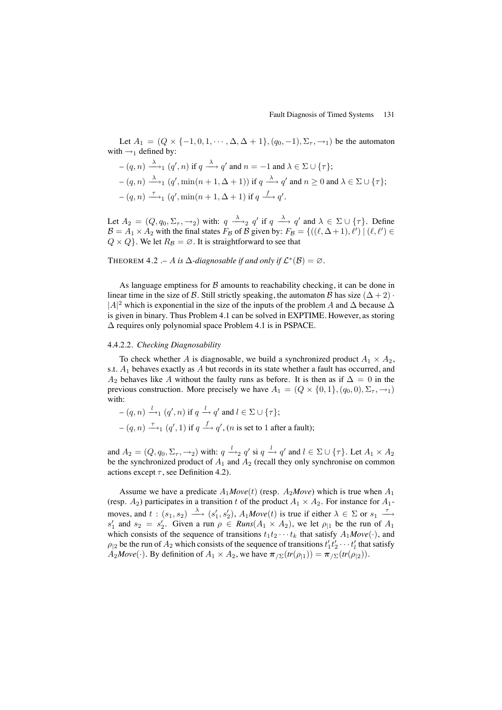Let  $A_1 = (Q \times \{-1, 0, 1, \dots, \Delta, \Delta + 1\}, (q_0, -1), \Sigma_{\tau}, \rightarrow_1)$  be the automaton with  $\rightarrow_1$  defined by:

$$
-(q, n) \xrightarrow{\lambda} (q', n) \text{ if } q \xrightarrow{\lambda} q' \text{ and } n = -1 \text{ and } \lambda \in \Sigma \cup \{\tau\};
$$
  

$$
-(q, n) \xrightarrow{\lambda} (q', \min(n + 1, \Delta + 1)) \text{ if } q \xrightarrow{\lambda} q' \text{ and } n \ge 0 \text{ and } \lambda \in \Sigma \cup \{\tau\};
$$
  

$$
-(q, n) \xrightarrow{\tau} (q', \min(n + 1, \Delta + 1) \text{ if } q \xrightarrow{f} q'.
$$

Let  $A_2 = (Q, q_0, \Sigma_\tau, \to_2)$  with:  $q \xrightarrow{\lambda} q'$  if  $q \xrightarrow{\lambda} q'$  and  $\lambda \in \Sigma \cup \{\tau\}$ . Define  $\mathcal{B} = A_1 \times A_2$  with the final states  $F_B$  of  $\mathcal{B}$  given by:  $F_B = \{((\ell, \Delta + 1), \ell') \mid (\ell, \ell') \in$  $Q \times Q$ . We let  $R_B = \emptyset$ . It is straightforward to see that

THEOREM 4.2 .– A is  $\Delta$ -diagnosable if and only if  $\mathcal{L}^*(\mathcal{B}) = \emptyset$ .

As language emptiness for  $\beta$  amounts to reachability checking, it can be done in linear time in the size of B. Still strictly speaking, the automaton B has size ( $\Delta + 2$ ) ·  $|A|^2$  which is exponential in the size of the inputs of the problem A and  $\Delta$  because  $\Delta$ is given in binary. Thus Problem 4.1 can be solved in EXPTIME. However, as storing ∆ requires only polynomial space Problem 4.1 is in PSPACE.

#### 4.4.2.2. *Checking Diagnosability*

To check whether A is diagnosable, we build a synchronized product  $A_1 \times A_2$ , s.t.  $A_1$  behaves exactly as A but records in its state whether a fault has occurred, and  $A_2$  behaves like A without the faulty runs as before. It is then as if  $\Delta = 0$  in the previous construction. More precisely we have  $A_1 = (Q \times \{0, 1\}, (q_0, 0), \Sigma_\tau, \to_1)$ with:

$$
-(q, n) \xrightarrow{l}_{1} (q', n) \text{ if } q \xrightarrow{l}_{1} q' \text{ and } l \in \Sigma \cup \{\tau\};
$$
  

$$
-(q, n) \xrightarrow{\tau}_{1} (q', 1) \text{ if } q \xrightarrow{f}_{1} q', (n \text{ is set to } 1 \text{ after a fault});
$$

and  $A_2 = (Q, q_0, \Sigma_\tau, \to_2)$  with:  $q \stackrel{l}{\to}_2 q'$  si  $q \stackrel{l}{\to} q'$  and  $l \in \Sigma \cup \{\tau\}$ . Let  $A_1 \times A_2$ be the synchronized product of  $A_1$  and  $A_2$  (recall they only synchronise on common actions except  $\tau$ , see Definition 4.2).

Assume we have a predicate  $A_1Move(t)$  (resp.  $A_2Move$ ) which is true when  $A_1$ (resp.  $A_2$ ) participates in a transition t of the product  $A_1 \times A_2$ . For instance for  $A_1$ moves, and  $t : (s_1, s_2) \longrightarrow (s'_1, s'_2)$ ,  $A_1Move(t)$  is true if either  $\lambda \in \Sigma$  or  $s_1 \longrightarrow$  $s'_1$  and  $s_2 = s'_2$ . Given a run  $\rho \in \text{Runs}(A_1 \times A_2)$ , we let  $\rho_{|1}$  be the run of  $A_1$ which consists of the sequence of transitions  $t_1t_2 \cdots t_k$  that satisfy  $A_1Move(\cdot)$ , and  $\rho_{|2}$  be the run of  $A_2$  which consists of the sequence of transitions  $t'_1 t'_2 \cdots t'_l$  that satisfy  $A_2Move(\cdot)$ . By definition of  $A_1 \times A_2$ , we have  $\pi_{\sum}(tr(\rho_{11})) = \pi_{\sum}(tr(\rho_{2})).$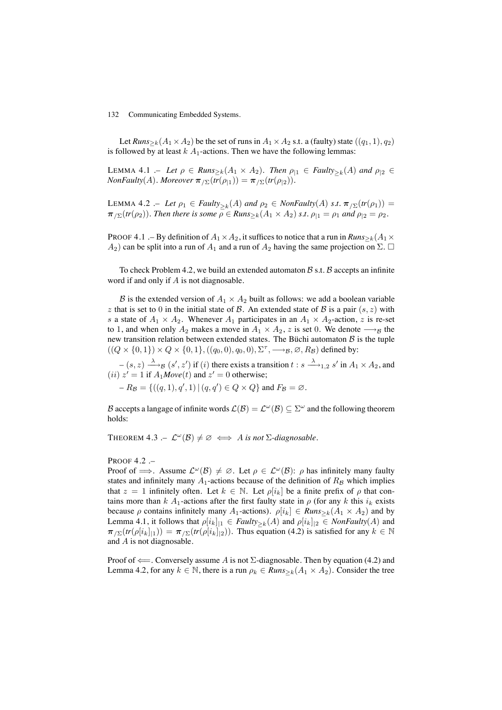Let *Runs*<sub>>k</sub>( $A_1 \times A_2$ ) be the set of runs in  $A_1 \times A_2$  s.t. a (faulty) state (( $q_1$ , 1),  $q_2$ ) is followed by at least  $k \nA_1$ -actions. Then we have the following lemmas:

LEMMA 4.1 .– Let  $\rho \in \text{Runs}_{\geq k}(A_1 \times A_2)$ . Then  $\rho_{|1} \in \text{Family}_{\geq k}(A)$  and  $\rho_{|2} \in$ *NonFaulty*(*A*)*. Moreover*  $\pi_{\sum}(tr(\rho_{11})) = \pi_{\sum}(tr(\rho_{12}))$ *.* 

LEMMA 4.2 .– Let  $\rho_1 \in \text{Faulty}_{\geq k}(A)$  and  $\rho_2 \in \text{NonFaulty}(A)$  *s.t.*  $\pi_{\geq k}(tr(\rho_1)) =$  $\pi_{/\Sigma}(tr(\rho_2))$ *. Then there is some*  $\rho \in \text{Runs}_{\geq k}(A_1 \times A_2)$  *s.t.*  $\rho_{|1} = \rho_1$  *and*  $\rho_{|2} = \rho_2$ *.* 

PROOF 4.1 .– By definition of  $A_1 \times A_2$ , it suffices to notice that a run in  $Runs_{\geq k}(A_1 \times$  $(A_2)$  can be split into a run of  $A_1$  and a run of  $A_2$  having the same projection on  $\Sigma$ .  $\square$ 

To check Problem 4.2, we build an extended automaton  $\beta$  s.t.  $\beta$  accepts an infinite word if and only if A is not diagnosable.

B is the extended version of  $A_1 \times A_2$  built as follows: we add a boolean variable z that is set to 0 in the initial state of  $\beta$ . An extended state of  $\beta$  is a pair  $(s, z)$  with s a state of  $A_1 \times A_2$ . Whenever  $A_1$  participates in an  $A_1 \times A_2$ -action, z is re-set to 1, and when only  $A_2$  makes a move in  $A_1 \times A_2$ , z is set 0. We denote  $\longrightarrow_B$  the new transition relation between extended states. The Büchi automaton  $\beta$  is the tuple  $((Q \times \{0,1\}) \times Q \times \{0,1\}, ((q_0, 0), q_0, 0), \Sigma^{\tau}, \longrightarrow_{\mathcal{B}}, \emptyset, R_{\mathcal{B}})$  defined by:

 $-(s, z) \xrightarrow{\lambda} B (s', z')$  if (i) there exists a transition  $t : s \xrightarrow{\lambda} 1,2 s'$  in  $A_1 \times A_2$ , and  $(ii)$   $z' = 1$  if  $A_1 \text{Move}(t)$  and  $z' = 0$  otherwise;

 $-R_{\mathcal{B}} = \{((q, 1), q', 1) | (q, q') \in Q \times Q\}$  and  $F_{\mathcal{B}} = \emptyset$ .

B accepts a langage of infinite words  $\mathcal{L}(\mathcal{B}) = \mathcal{L}^{\omega}(\mathcal{B}) \subseteq \Sigma^{\omega}$  and the following theorem holds:

THEOREM 4.3 .–  $\mathcal{L}^{\omega}(\mathcal{B}) \neq \emptyset \iff A$  *is not*  $\Sigma$ -diagnosable.

PROOF 4.2 .–

Proof of  $\implies$ . Assume  $\mathcal{L}^{\omega}(\mathcal{B}) \neq \emptyset$ . Let  $\rho \in \mathcal{L}^{\omega}(\mathcal{B})$ :  $\rho$  has infinitely many faulty states and infinitely many  $A_1$ -actions because of the definition of  $R_B$  which implies that  $z = 1$  infinitely often. Let  $k \in \mathbb{N}$ . Let  $\rho[i_k]$  be a finite prefix of  $\rho$  that contains more than k A<sub>1</sub>-actions after the first faulty state in  $\rho$  (for any k this  $i_k$  exists because  $\rho$  contains infinitely many  $A_1$ -actions).  $\rho[i_k] \in \textit{Runs}_{\geq k}(A_1 \times A_2)$  and by Lemma 4.1, it follows that  $\rho[i_k]_{1} \in \text{Faulty}_{\geq k}(A)$  and  $\rho[i_k]_{2} \in \text{NonFaulty}(A)$  and  $\pi_{\Sigma}(tr(\rho[i_k]_{1})) = \pi_{\Sigma}(tr(\rho[i_k]_{2}))$ . Thus equation (4.2) is satisfied for any  $k \in \mathbb{N}$ and A is not diagnosable.

Proof of  $\Longleftarrow$ . Conversely assume A is not  $\Sigma$ -diagnosable. Then by equation (4.2) and Lemma 4.2, for any  $k \in \mathbb{N}$ , there is a run  $\rho_k \in \text{Runs}_{\geq k}(A_1 \times A_2)$ . Consider the tree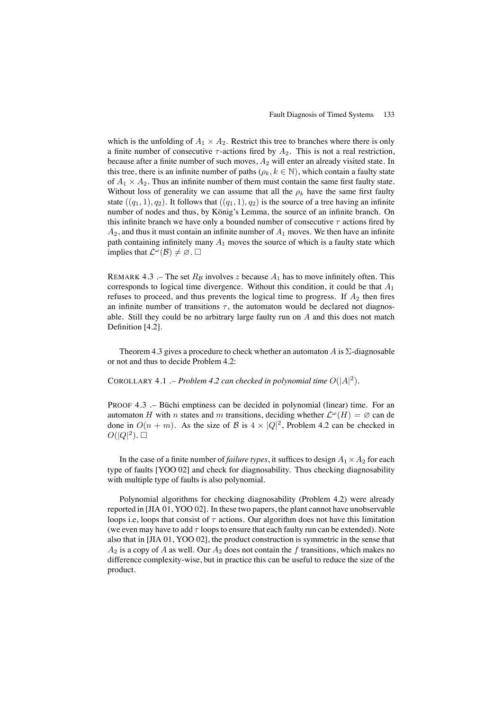which is the unfolding of  $A_1 \times A_2$ . Restrict this tree to branches where there is only a finite number of consecutive  $\tau$ -actions fired by  $A_2$ . This is not a real restriction, because after a finite number of such moves,  $A_2$  will enter an already visited state. In this tree, there is an infinite number of paths ( $\rho_k, k \in \mathbb{N}$ ), which contain a faulty state of  $A_1 \times A_2$ . Thus an infinite number of them must contain the same first faulty state. Without loss of generality we can assume that all the  $\rho_k$  have the same first faulty state  $((q_1, 1), q_2)$ . It follows that  $((q_1, 1), q_2)$  is the source of a tree having an infinite number of nodes and thus, by König's Lemma, the source of an infinite branch. On this infinite branch we have only a bounded number of consecutive  $\tau$  actions fired by  $A_2$ , and thus it must contain an infinite number of  $A_1$  moves. We then have an infinite path containing infinitely many  $A_1$  moves the source of which is a faulty state which implies that  $\mathcal{L}^{\omega}(\mathcal{B}) \neq \emptyset$ .  $\square$ 

REMARK 4.3 .– The set  $R_B$  involves z because  $A_1$  has to move infinitely often. This corresponds to logical time divergence. Without this condition, it could be that  $A_1$ refuses to proceed, and thus prevents the logical time to progress. If  $A_2$  then fires an infinite number of transitions  $\tau$ , the automaton would be declared not diagnosable. Still they could be no arbitrary large faulty run on  $A$  and this does not match Definition [4.2].

Theorem 4.3 gives a procedure to check whether an automaton A is  $\Sigma$ -diagnosable or not and thus to decide Problem 4.2:

# COROLLARY 4.1 .– *Problem 4.2 can checked in polynomial time*  $O(|A|^2)$ .

PROOF 4.3 .– Büchi emptiness can be decided in polynomial (linear) time. For an automaton H with n states and m transitions, deciding whether  $\mathcal{L}^{\omega}(H) = \emptyset$  can de done in  $O(n + m)$ . As the size of B is  $4 \times |Q|^2$ , Problem 4.2 can be checked in  $O(|Q|^2)$ .

In the case of a finite number of *failure types*, it suffices to design  $A_1 \times A_2$  for each type of faults [YOO 02] and check for diagnosability. Thus checking diagnosability with multiple type of faults is also polynomial.

Polynomial algorithms for checking diagnosability (Problem 4.2) were already reported in [JIA 01, YOO 02]. In these two papers, the plant cannot have unobservable loops i.e, loops that consist of  $\tau$  actions. Our algorithm does not have this limitation (we even may have to add  $\tau$  loops to ensure that each faulty run can be extended). Note also that in [JIA 01, YOO 02], the product construction is symmetric in the sense that  $A_2$  is a copy of A as well. Our  $A_2$  does not contain the f transitions, which makes no difference complexity-wise, but in practice this can be useful to reduce the size of the product.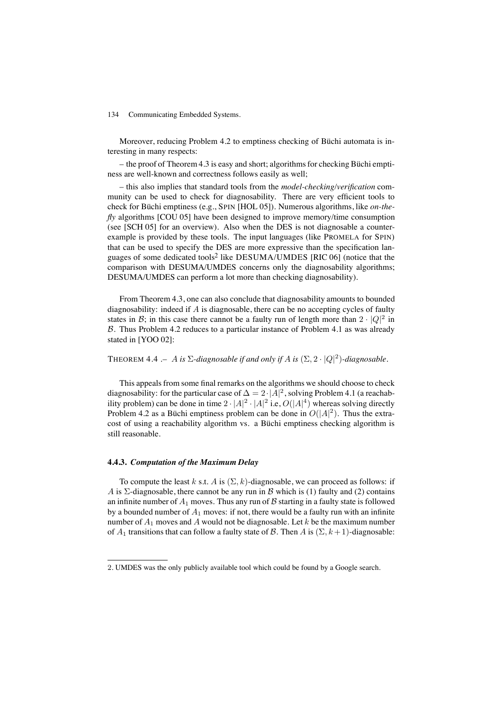Moreover, reducing Problem 4.2 to emptiness checking of Büchi automata is interesting in many respects:

– the proof of Theorem 4.3 is easy and short; algorithms for checking Büchi emptiness are well-known and correctness follows easily as well;

– this also implies that standard tools from the *model-checking/verification* community can be used to check for diagnosability. There are very efficient tools to check for Büchi emptiness (e.g., SPIN [HOL 05]). Numerous algorithms, like *on-thefly* algorithms [COU 05] have been designed to improve memory/time consumption (see [SCH 05] for an overview). Also when the DES is not diagnosable a counterexample is provided by these tools. The input languages (like PROMELA for SPIN) that can be used to specify the DES are more expressive than the specification languages of some dedicated tools2 like DESUMA/UMDES [RIC 06] (notice that the comparison with DESUMA/UMDES concerns only the diagnosability algorithms; DESUMA/UMDES can perform a lot more than checking diagnosability).

From Theorem 4.3, one can also conclude that diagnosability amounts to bounded diagnosability: indeed if A is diagnosable, there can be no accepting cycles of faulty states in B; in this case there cannot be a faulty run of length more than  $2 \cdot |Q|^2$  in B. Thus Problem 4.2 reduces to a particular instance of Problem 4.1 as was already stated in [YOO 02]:

THEOREM 4.4 .– A *is*  $\Sigma$ -diagnosable if and only if A is  $(\Sigma, 2 \cdot |Q|^2)$ -diagnosable.

This appeals from some final remarks on the algorithms we should choose to check diagnosability: for the particular case of  $\Delta = 2 \cdot |A|^2$ , solving Problem 4.1 (a reachability problem) can be done in time  $2 \cdot |A|^2 \cdot |A|^2$  i.e,  $O(|A|^4)$  whereas solving directly Problem 4.2 as a Büchi emptiness problem can be done in  $O(|A|^2)$ . Thus the extracost of using a reachability algorithm vs. a Büchi emptiness checking algorithm is still reasonable.

# **4.4.3.** *Computation of the Maximum Delay*

To compute the least k s.t. A is  $(\Sigma, k)$ -diagnosable, we can proceed as follows: if A is  $\Sigma$ -diagnosable, there cannot be any run in B which is (1) faulty and (2) contains an infinite number of  $A_1$  moves. Thus any run of  $\beta$  starting in a faulty state is followed by a bounded number of  $A_1$  moves: if not, there would be a faulty run with an infinite number of  $A_1$  moves and  $A$  would not be diagnosable. Let  $k$  be the maximum number of  $A_1$  transitions that can follow a faulty state of B. Then A is  $(\Sigma, k+1)$ -diagnosable:

<sup>2</sup>. UMDES was the only publicly available tool which could be found by a Google search.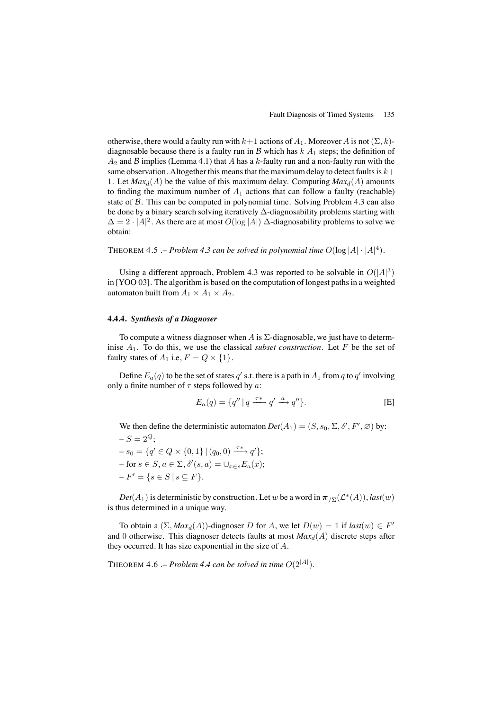otherwise, there would a faulty run with  $k+1$  actions of  $A_1$ . Moreover A is not  $(\Sigma, k)$ diagnosable because there is a faulty run in  $\mathcal B$  which has  $k \, A_1$  steps; the definition of  $A_2$  and  $\beta$  implies (Lemma 4.1) that A has a k-faulty run and a non-faulty run with the same observation. Altogether this means that the maximum delay to detect faults is  $k+$ 1. Let  $Max_d(A)$  be the value of this maximum delay. Computing  $Max_d(A)$  amounts to finding the maximum number of  $A_1$  actions that can follow a faulty (reachable) state of  $\beta$ . This can be computed in polynomial time. Solving Problem 4.3 can also be done by a binary search solving iteratively ∆-diagnosability problems starting with  $\Delta = 2 \cdot |A|^2$ . As there are at most  $O(\log |A|)$   $\Delta$ -diagnosability problems to solve we obtain:

THEOREM 4.5 .– *Problem 4.3 can be solved in polynomial time*  $O(\log |A| \cdot |A|^4)$ .

Using a different approach, Problem 4.3 was reported to be solvable in  $O(|A|^3)$ in [YOO 03]. The algorithm is based on the computation of longest paths in a weighted automaton built from  $A_1 \times A_1 \times A_2$ .

# **4.4.4.** *Synthesis of a Diagnoser*

To compute a witness diagnoser when A is  $\Sigma$ -diagnosable, we just have to determinise  $A_1$ . To do this, we use the classical *subset construction*. Let F be the set of faulty states of  $A_1$  i.e,  $F = Q \times \{1\}$ .

Define  $E_a(q)$  to be the set of states q' s.t. there is a path in  $A_1$  from q to q' involving only a finite number of  $\tau$  steps followed by a:

$$
E_a(q) = \{q'' \mid q \xrightarrow{\tau^*} q' \xrightarrow{a} q''\}.
$$
 [E]

We then define the deterministic automaton  $Det(A_1) = (S, s_0, \Sigma, \delta', F', \emptyset)$  by:  $-S = 2^Q$ ;

 $- s_0 = \{q' \in Q \times \{0, 1\} \mid (q_0, 0) \xrightarrow{\tau^*} q' \};$  $-$  for  $s \in S$ ,  $a \in \Sigma$ ,  $\delta'(s, a) = \cup_{x \in s} E_a(x)$ ;  $-F' = \{s \in S \mid s \subseteq F\}.$ 

 $Det(A_1)$  is deterministic by construction. Let w be a word in  $\pi_{\sum}(\mathcal{L}^*(A)),$  *last*(w) is thus determined in a unique way.

To obtain a  $(\Sigma, Max_d(A))$ -diagnoser D for A, we let  $D(w) = 1$  if  $last(w) \in F'$ and 0 otherwise. This diagnoser detects faults at most  $Max_d(A)$  discrete steps after they occurred. It has size exponential in the size of A.

THEOREM 4.6 .– *Problem 4.4 can be solved in time*  $O(2^{|A|})$ .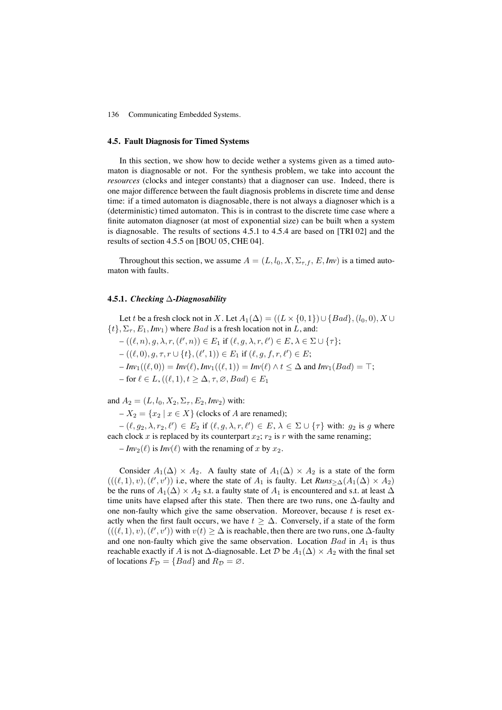#### **4.5. Fault Diagnosis for Timed Systems**

In this section, we show how to decide wether a systems given as a timed automaton is diagnosable or not. For the synthesis problem, we take into account the *resources* (clocks and integer constants) that a diagnoser can use. Indeed, there is one major difference between the fault diagnosis problems in discrete time and dense time: if a timed automaton is diagnosable, there is not always a diagnoser which is a (deterministic) timed automaton. This is in contrast to the discrete time case where a finite automaton diagnoser (at most of exponential size) can be built when a system is diagnosable. The results of sections 4.5.1 to 4.5.4 are based on [TRI 02] and the results of section 4.5.5 on [BOU 05, CHE 04].

Throughout this section, we assume  $A = (L, l_0, X, \Sigma_{\tau, f}, E, Inv)$  is a timed automaton with faults.

# **4.5.1.** *Checking* ∆*-Diagnosability*

Let t be a fresh clock not in X. Let  $A_1(\Delta) = ((L \times \{0, 1\}) \cup \{Bad\}, (l_0, 0), X \cup$  $\{t\}, \Sigma_{\tau}, E_1, Inv_1$  where *Bad* is a fresh location not in L, and:

- $-((\ell, n), g, \lambda, r, (\ell', n)) \in E_1$  if  $(\ell, g, \lambda, r, \ell') \in E, \lambda \in \Sigma \cup \{\tau\};$
- $((\ell, 0), g, \tau, r \cup \{t\}, (\ell', 1)) \in E_1 \text{ if } (\ell, g, f, r, \ell') \in E;$
- $I_{n}I(n) = Inv(\ell), Inv_1((\ell, 1)) = Inv(\ell) \wedge t \leq \Delta$  and  $Inv_1(Bad) = T$ ;
- $-$  for  $\ell \in L$ ,  $((\ell, 1), t > \Delta, \tau, \varnothing, Bad) \in E_1$

and  $A_2 = (L, l_0, X_2, \Sigma_\tau, E_2, Inv_2)$  with:

 $-X_2 = \{x_2 \mid x \in X\}$  (clocks of A are renamed);

 $-(\ell, g_2, \lambda, r_2, \ell') \in E_2$  if  $(\ell, g, \lambda, r, \ell') \in E$ ,  $\lambda \in \Sigma \cup {\tau}$  with:  $g_2$  is g where each clock x is replaced by its counterpart  $x_2$ ;  $r_2$  is r with the same renaming;

 $-Inv_2(\ell)$  is  $Inv(\ell)$  with the renaming of x by  $x_2$ .

Consider  $A_1(\Delta) \times A_2$ . A faulty state of  $A_1(\Delta) \times A_2$  is a state of the form  $(((\ell, 1), v), (\ell', v'))$  i.e, where the state of  $A_1$  is faulty. Let  $Runs_{\geq \Delta}(A_1(\Delta) \times A_2)$ be the runs of  $A_1(\Delta) \times A_2$  s.t. a faulty state of  $A_1$  is encountered and s.t. at least  $\Delta$ time units have elapsed after this state. Then there are two runs, one ∆-faulty and one non-faulty which give the same observation. Moreover, because  $t$  is reset exactly when the first fault occurs, we have  $t \geq \Delta$ . Conversely, if a state of the form  $(((\ell, 1), v), (\ell', v'))$  with  $v(t) \geq \Delta$  is reachable, then there are two runs, one  $\Delta$ -faulty and one non-faulty which give the same observation. Location  $Bad$  in  $A_1$  is thus reachable exactly if A is not  $\Delta$ -diagnosable. Let D be  $A_1(\Delta) \times A_2$  with the final set of locations  $F_{\mathcal{D}} = \{Bad\}$  and  $R_{\mathcal{D}} = \emptyset$ .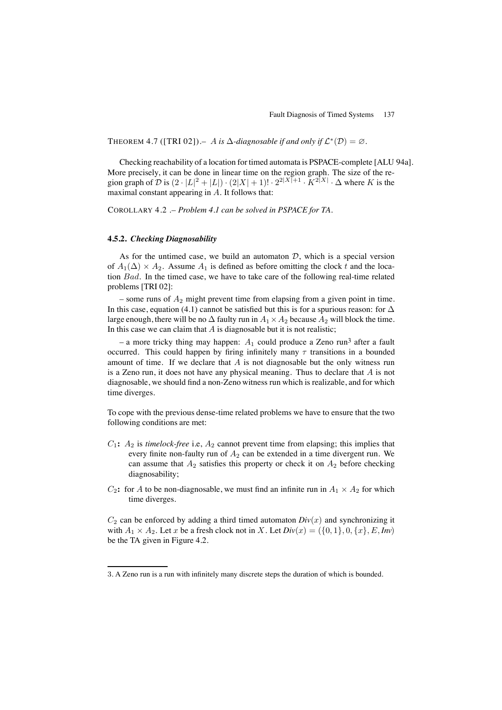THEOREM 4.7 ([TRI 02]).– A is  $\Delta$ -diagnosable if and only if  $\mathcal{L}^*(\mathcal{D}) = \emptyset$ .

Checking reachability of a location for timed automata is PSPACE-complete [ALU 94a]. More precisely, it can be done in linear time on the region graph. The size of the region graph of D is  $(2 \cdot |L|^2 + |L|) \cdot (2|X| + 1)! \cdot 2^{2|X|+1} \cdot K^{2|X|} \cdot \Delta$  where K is the maximal constant appearing in A. It follows that:

COROLLARY 4.2 .– *Problem 4.1 can be solved in PSPACE for TA.*

#### **4.5.2.** *Checking Diagnosability*

As for the untimed case, we build an automaton  $D$ , which is a special version of  $A_1(\Delta) \times A_2$ . Assume  $A_1$  is defined as before omitting the clock t and the location Bad. In the timed case, we have to take care of the following real-time related problems [TRI 02]:

– some runs of  $A_2$  might prevent time from elapsing from a given point in time. In this case, equation (4.1) cannot be satisfied but this is for a spurious reason: for  $\Delta$ large enough, there will be no  $\Delta$  faulty run in  $A_1 \times A_2$  because  $A_2$  will block the time. In this case we can claim that  $A$  is diagnosable but it is not realistic;

– a more tricky thing may happen:  $A_1$  could produce a Zeno run<sup>3</sup> after a fault occurred. This could happen by firing infinitely many  $\tau$  transitions in a bounded amount of time. If we declare that  $\vec{A}$  is not diagnosable but the only witness run is a Zeno run, it does not have any physical meaning. Thus to declare that  $A$  is not diagnosable, we should find a non-Zeno witness run which is realizable, and for which time diverges.

To cope with the previous dense-time related problems we have to ensure that the two following conditions are met:

- $C_1$ :  $A_2$  is *timelock-free* i.e,  $A_2$  cannot prevent time from elapsing; this implies that every finite non-faulty run of  $A_2$  can be extended in a time divergent run. We can assume that  $A_2$  satisfies this property or check it on  $A_2$  before checking diagnosability;
- $C_2$ : for A to be non-diagnosable, we must find an infinite run in  $A_1 \times A_2$  for which time diverges.

 $C_2$  can be enforced by adding a third timed automaton  $Div(x)$  and synchronizing it with  $A_1 \times A_2$ . Let x be a fresh clock not in X. Let  $Div(x) = (\{0, 1\}, 0, \{x\}, E, Inv)$ be the TA given in Figure 4.2.

<sup>3</sup>. A Zeno run is a run with infinitely many discrete steps the duration of which is bounded.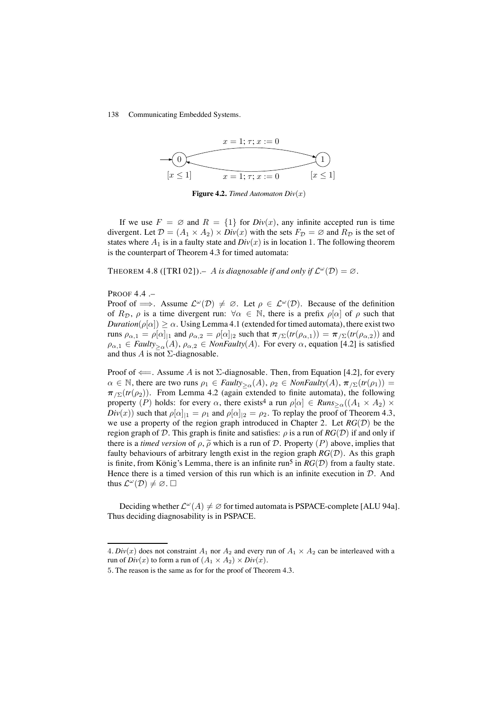

**Figure 4.2.** *Timed Automaton*  $Div(x)$ 

If we use  $F = \emptyset$  and  $R = \{1\}$  for  $Div(x)$ , any infinite accepted run is time divergent. Let  $\mathcal{D} = (A_1 \times A_2) \times Div(x)$  with the sets  $F_{\mathcal{D}} = \emptyset$  and  $R_{\mathcal{D}}$  is the set of states where  $A_1$  is in a faulty state and  $Div(x)$  is in location 1. The following theorem is the counterpart of Theorem 4.3 for timed automata:

THEOREM 4.8 ([TRI 02]).– A *is diagnosable if and only if*  $\mathcal{L}^{\omega}(\mathcal{D}) = \emptyset$ .

PROOF 4.4 .–

Proof of  $\implies$ . Assume  $\mathcal{L}^{\omega}(\mathcal{D}) \neq \emptyset$ . Let  $\rho \in \mathcal{L}^{\omega}(\mathcal{D})$ . Because of the definition of  $R_{\mathcal{D}}$ ,  $\rho$  is a time divergent run:  $\forall \alpha \in \mathbb{N}$ , there is a prefix  $\rho[\alpha]$  of  $\rho$  such that *Duration*( $\rho[\alpha]$ )  $\geq \alpha$ . Using Lemma 4.1 (extended for timed automata), there exist two runs  $\rho_{\alpha,1} = \rho[\alpha]_{1}$  and  $\rho_{\alpha,2} = \rho[\alpha]_{2}$  such that  $\pi_{/\Sigma}(tr(\rho_{\alpha,1})) = \pi_{/\Sigma}(tr(\rho_{\alpha,2}))$  and  $\rho_{\alpha,1} \in \text{Faulty}_{>\alpha}(A), \rho_{\alpha,2} \in \text{NonFaulty}(A)$ . For every  $\alpha$ , equation [4.2] is satisfied and thus  $\overline{A}$  is not  $\Sigma$ -diagnosable.

Proof of  $\Leftarrow$ . Assume A is not  $\Sigma$ -diagnosable. Then, from Equation [4.2], for every  $\alpha \in \mathbb{N}$ , there are two runs  $\rho_1 \in \text{Faulty}_{\geq \alpha}(A), \rho_2 \in \text{NonFaulty}(A), \pi_{\geq}(tr(\rho_1)) =$  $\pi_{\text{Z}}(tr(\rho_2))$ . From Lemma 4.2 (again extended to finite automata), the following property (P) holds: for every  $\alpha$ , there exists<sup>4</sup> a run  $\rho[\alpha] \in \text{Runs}_{\geq \alpha}((A_1 \times A_2) \times$  $Div(x)$ ) such that  $\rho[\alpha]_{11} = \rho_1$  and  $\rho[\alpha]_{12} = \rho_2$ . To replay the proof of Theorem 4.3, we use a property of the region graph introduced in Chapter 2. Let  $RG(\mathcal{D})$  be the region graph of D. This graph is finite and satisfies:  $\rho$  is a run of  $RG(\mathcal{D})$  if and only if there is a *timed version* of  $\rho$ ,  $\tilde{\rho}$  which is a run of D. Property (P) above, implies that faulty behaviours of arbitrary length exist in the region graph  $RG(\mathcal{D})$ . As this graph is finite, from König's Lemma, there is an infinite run<sup>5</sup> in  $RG(\mathcal{D})$  from a faulty state. Hence there is a timed version of this run which is an infinite execution in  $D$ . And thus  $\mathcal{L}^{\omega}(\mathcal{D}) \neq \emptyset$ .  $\square$ 

Deciding whether  $\mathcal{L}^{\omega}(A) \neq \emptyset$  for timed automata is PSPACE-complete [ALU 94a]. Thus deciding diagnosability is in PSPACE.

<sup>4.</sup> *Div(x)* does not constraint  $A_1$  nor  $A_2$  and every run of  $A_1 \times A_2$  can be interleaved with a run of  $Div(x)$  to form a run of  $(A_1 \times A_2) \times Div(x)$ .

<sup>5</sup>. The reason is the same as for for the proof of Theorem 4.3.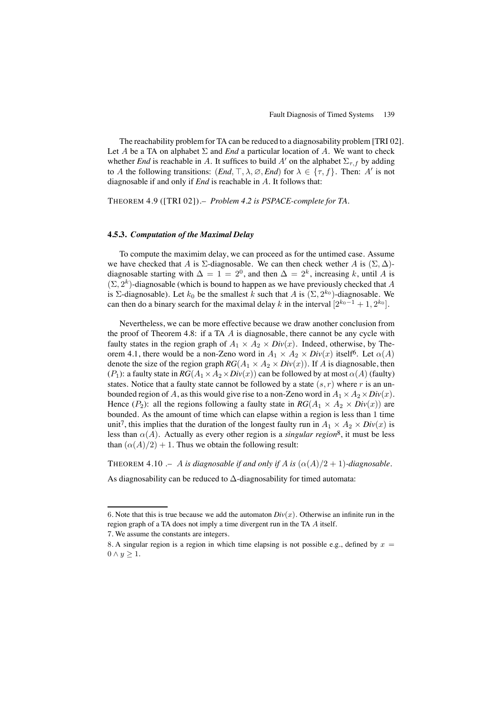The reachability problem for TA can be reduced to a diagnosability problem [TRI 02]. Let A be a TA on alphabet  $\Sigma$  and *End* a particular location of A. We want to check whether *End* is reachable in A. It suffices to build A' on the alphabet  $\Sigma_{\tau,f}$  by adding to A the following transitions:  $(End, \top, \lambda, \emptyset, End)$  for  $\lambda \in \{\tau, f\}$ . Then: A' is not diagnosable if and only if *End* is reachable in A. It follows that:

THEOREM 4.9 ([TRI 02]).– *Problem 4.2 is PSPACE-complete for TA.*

### **4.5.3.** *Computation of the Maximal Delay*

To compute the maximim delay, we can proceed as for the untimed case. Assume we have checked that A is  $\Sigma$ -diagnosable. We can then check wether A is  $(\Sigma, \Delta)$ diagnosable starting with  $\Delta = 1 = 2^0$ , and then  $\Delta = 2^k$ , increasing k, until A is  $(\Sigma, 2^k)$ -diagnosable (which is bound to happen as we have previously checked that A is  $\Sigma$ -diagnosable). Let  $k_0$  be the smallest k such that A is  $(\Sigma, 2^{k_0})$ -diagnosable. We can then do a binary search for the maximal delay k in the interval  $[2^{k_0-1} + 1, 2^{k_0}]$ .

Nevertheless, we can be more effective because we draw another conclusion from the proof of Theorem 4.8: if a TA  $\ddot{A}$  is diagnosable, there cannot be any cycle with faulty states in the region graph of  $A_1 \times A_2 \times Div(x)$ . Indeed, otherwise, by Theorem 4.1, there would be a non-Zeno word in  $A_1 \times A_2 \times Div(x)$  itself<sup>6</sup>. Let  $\alpha(A)$ denote the size of the region graph  $RG(A_1 \times A_2 \times Div(x))$ . If A is diagnosable, then (P<sub>1</sub>): a faulty state in  $RG(A_1 \times A_2 \times Div(x))$  can be followed by at most  $\alpha(A)$  (faulty) states. Notice that a faulty state cannot be followed by a state  $(s, r)$  where r is an unbounded region of A, as this would give rise to a non-Zeno word in  $A_1 \times A_2 \times Div(x)$ . Hence  $(P_2)$ : all the regions following a faulty state in  $RG(A_1 \times A_2 \times Div(x))$  are bounded. As the amount of time which can elapse within a region is less than 1 time unit<sup>7</sup>, this implies that the duration of the longest faulty run in  $A_1 \times A_2 \times Div(x)$  is less than  $\alpha(A)$ . Actually as every other region is a *singular region*<sup>8</sup>, it must be less than  $(\alpha(A)/2) + 1$ . Thus we obtain the following result:

THEOREM 4.10 .– A *is diagnosable if and only if* A *is*  $(\alpha(A)/2 + 1)$ *-diagnosable.* 

As diagnosability can be reduced to  $\Delta$ -diagnosability for timed automata:

<sup>6.</sup> Note that this is true because we add the automaton  $Div(x)$ . Otherwise an infinite run in the region graph of a TA does not imply a time divergent run in the TA A itself.

<sup>7</sup>. We assume the constants are integers.

<sup>8.</sup> A singular region is a region in which time elapsing is not possible e.g., defined by  $x =$  $0 \wedge y \geq 1$ .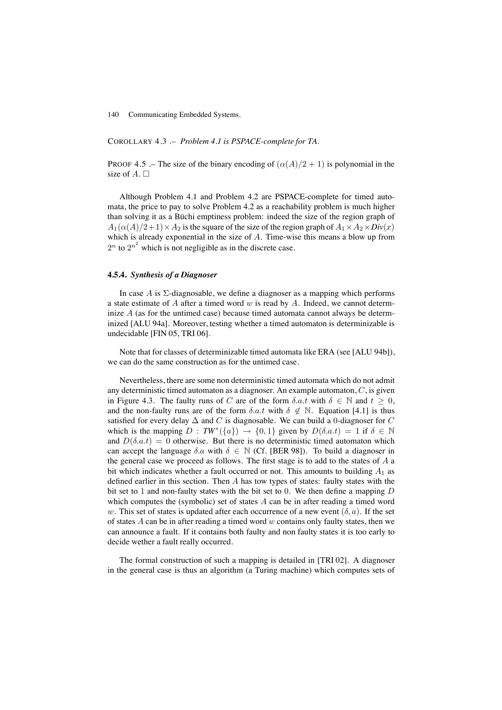COROLLARY 4.3 .– *Problem 4.1 is PSPACE-complete for TA.*

PROOF 4.5 .– The size of the binary encoding of  $(\alpha(A)/2 + 1)$  is polynomial in the size of  $A \square$ 

Although Problem 4.1 and Problem 4.2 are PSPACE-complete for timed automata, the price to pay to solve Problem 4.2 as a reachability problem is much higher than solving it as a Büchi emptiness problem: indeed the size of the region graph of  $A_1(\alpha(A)/2+1) \times A_2$  is the square of the size of the region graph of  $A_1 \times A_2 \times Div(x)$ which is already exponential in the size of A. Time-wise this means a blow up from  $2^n$  to  $2^{n^2}$  which is not negligible as in the discrete case.

#### **4.5.4.** *Synthesis of a Diagnoser*

In case A is  $\Sigma$ -diagnosable, we define a diagnoser as a mapping which performs a state estimate of  $A$  after a timed word  $w$  is read by  $A$ . Indeed, we cannot determinize  $A$  (as for the untimed case) because timed automata cannot always be determinized [ALU 94a]. Moreover, testing whether a timed automaton is determinizable is undecidable [FIN 05, TRI 06].

Note that for classes of determinizable timed automata like ERA (see [ALU 94b]), we can do the same construction as for the untimed case.

Nevertheless, there are some non deterministic timed automata which do not admit any deterministic timed automaton as a diagnoser. An example automaton,  $C$ , is given in Figure 4.3. The faulty runs of C are of the form  $\delta$ .a.t with  $\delta \in \mathbb{N}$  and  $t \geq 0$ , and the non-faulty runs are of the form  $\delta.a.t$  with  $\delta \notin \mathbb{N}$ . Equation [4.1] is thus satisfied for every delay  $\Delta$  and C is diagnosable. We can build a 0-diagnoser for C which is the mapping  $D : TW^*(\{a\}) \to \{0,1\}$  given by  $D(\delta.a.t) = 1$  if  $\delta \in \mathbb{N}$ and  $D(\delta.a.t) = 0$  otherwise. But there is no deterministic timed automaton which can accept the language  $\delta \alpha$  with  $\delta \in \mathbb{N}$  (Cf. [BER 98]). To build a diagnoser in the general case we proceed as follows. The first stage is to add to the states of  $A$  a bit which indicates whether a fault occurred or not. This amounts to building  $A_1$  as defined earlier in this section. Then  $A$  has tow types of states: faulty states with the bit set to 1 and non-faulty states with the bit set to 0. We then define a mapping D which computes the (symbolic) set of states  $A$  can be in after reading a timed word w. This set of states is updated after each occurrence of a new event  $(\delta, a)$ . If the set of states  $A$  can be in after reading a timed word  $w$  contains only faulty states, then we can announce a fault. If it contains both faulty and non faulty states it is too early to decide wether a fault really occurred.

The formal construction of such a mapping is detailed in [TRI 02]. A diagnoser in the general case is thus an algorithm (a Turing machine) which computes sets of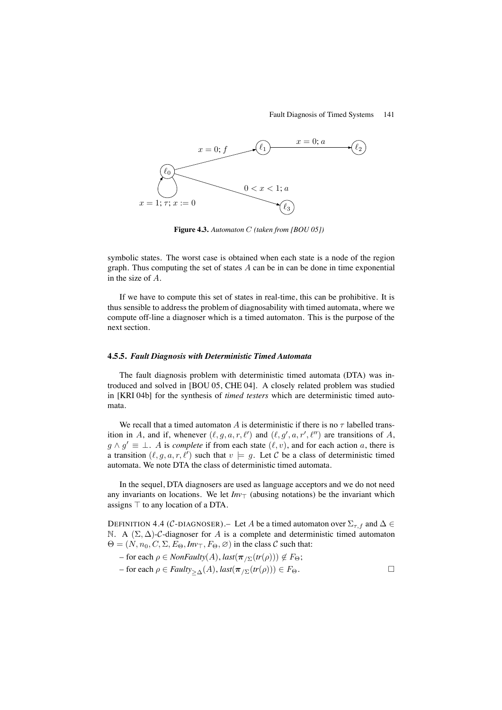#### Fault Diagnosis of Timed Systems 141



**Figure 4.3.** *Automaton* C *(taken from [BOU 05])*

symbolic states. The worst case is obtained when each state is a node of the region graph. Thus computing the set of states  $A$  can be in can be done in time exponential in the size of A.

If we have to compute this set of states in real-time, this can be prohibitive. It is thus sensible to address the problem of diagnosability with timed automata, where we compute off-line a diagnoser which is a timed automaton. This is the purpose of the next section.

#### **4.5.5.** *Fault Diagnosis with Deterministic Timed Automata*

The fault diagnosis problem with deterministic timed automata (DTA) was introduced and solved in [BOU 05, CHE 04]. A closely related problem was studied in [KRI 04b] for the synthesis of *timed testers* which are deterministic timed automata.

We recall that a timed automaton A is deterministic if there is no  $\tau$  labelled transition in A, and if, whenever  $(\ell, g, a, r, \ell')$  and  $(\ell, g', a, r', \ell'')$  are transitions of A,  $g \wedge g' \equiv \bot$ . A is *complete* if from each state  $(\ell, v)$ , and for each action a, there is a transition  $(\ell, g, a, r, \ell')$  such that  $v \models g$ . Let C be a class of deterministic timed automata. We note DTA the class of deterministic timed automata.

In the sequel, DTA diagnosers are used as language acceptors and we do not need any invariants on locations. We let  $Inv<sub>T</sub>$  (abusing notations) be the invariant which assigns  $\top$  to any location of a DTA.

DEFINITION 4.4 (C-DIAGNOSER).– Let A be a timed automaton over  $\Sigma_{\tau,f}$  and  $\Delta \in$ N. A  $(\Sigma, \Delta)$ -C-diagnoser for A is a complete and deterministic timed automaton  $\Theta = (N, n_0, C, \Sigma, E_\Theta, Inv_\top, F_\Theta, \emptyset)$  in the class C such that:

 $-$  for each  $\rho \in \text{NonFaulty}(A), \text{last}(\pi_{\text{Z}}(tr(\rho))) \notin F_{\Theta};$ 

$$
- \text{ for each } \rho \in \text{Faulty}_{\geq \Delta}(A), \text{last}(\pi_{/\Sigma}(tr(\rho))) \in F_{\Theta}.
$$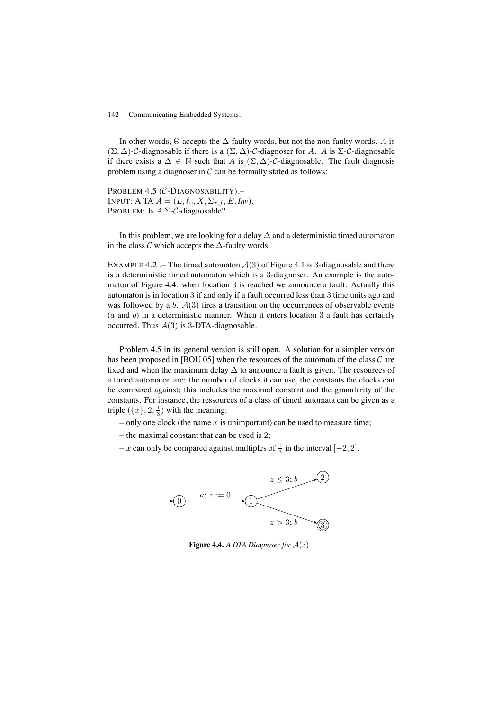In other words,  $\Theta$  accepts the  $\Delta$ -faulty words, but not the non-faulty words. A is  $(\Sigma, \Delta)$ -C-diagnosable if there is a  $(\Sigma, \Delta)$ -C-diagnoser for A. A is  $\Sigma$ -C-diagnosable if there exists a  $\Delta \in \mathbb{N}$  such that A is  $(\Sigma, \Delta)$ -C-diagnosable. The fault diagnosis problem using a diagnoser in  $\mathcal C$  can be formally stated as follows:

PROBLEM 4.5 (C-DIAGNOSABILITY).-INPUT: A TA  $A = (L, \ell_0, X, \Sigma_{\tau, f}, E, Inv)$ . PROBLEM: Is  $A \Sigma$ -C-diagnosable?

In this problem, we are looking for a delay  $\Delta$  and a deterministic timed automaton in the class  $\mathcal C$  which accepts the  $\Delta$ -faulty words.

EXAMPLE 4.2 .– The timed automaton  $\mathcal{A}(3)$  of Figure 4.1 is 3-diagnosable and there is a deterministic timed automaton which is a 3-diagnoser. An example is the automaton of Figure 4.4: when location 3 is reached we announce a fault. Actually this automaton is in location 3 if and only if a fault occurred less than 3 time units ago and was followed by a b.  $A(3)$  fires a transition on the occurrences of observable events  $(a \text{ and } b)$  in a deterministic manner. When it enters location 3 a fault has certainly occurred. Thus  $A(3)$  is 3-DTA-diagnosable.

Problem 4.5 in its general version is still open. A solution for a simpler version has been proposed in [BOU 05] when the resources of the automata of the class  $\mathcal C$  are fixed and when the maximum delay  $\Delta$  to announce a fault is given. The resources of a timed automaton are: the number of clocks it can use, the constants the clocks can be compared against; this includes the maximal constant and the granularity of the constants. For instance, the ressources of a class of timed automata can be given as a triple  $(\lbrace x \rbrace, 2, \frac{1}{3})$  with the meaning:

- only one clock (the name  $x$  is unimportant) can be used to measure time;
- the maximal constant that can be used is 2;
- x can only be compared against multiples of  $\frac{1}{3}$  in the interval  $[-2, 2]$ .



**Figure 4.4.** *A DTA Diagnoser for* A(3)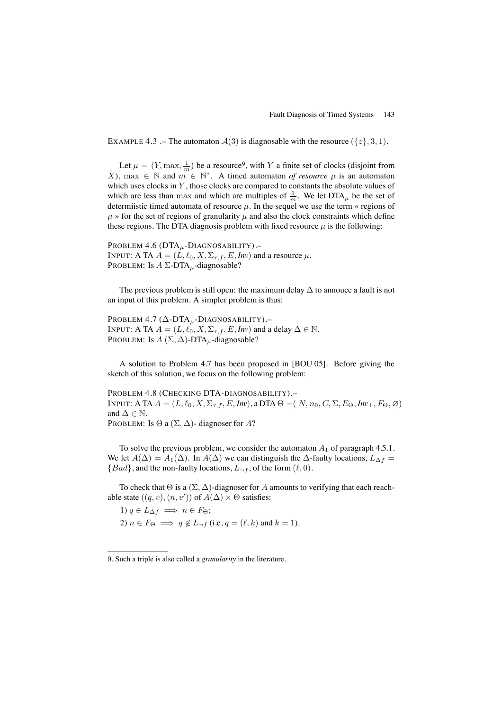EXAMPLE 4.3 .– The automaton  $\mathcal{A}(3)$  is diagnosable with the resource  $({z},3,1)$ .

Let  $\mu = (Y, \max, \frac{1}{m})$  be a resource<sup>9</sup>, with Y a finite set of clocks (disjoint from X), max  $\in \mathbb{N}$  and  $m \in \mathbb{N}^*$ . A timed automaton *of resource*  $\mu$  is an automaton which uses clocks in  $Y$ , those clocks are compared to constants the absolute values of which are less than max and which are multiples of  $\frac{1}{m}$ . We let DTA<sub> $\mu$ </sub> be the set of determiistic timed automata of resource  $\mu$ . In the sequel we use the term « regions of  $\mu$  » for the set of regions of granularity  $\mu$  and also the clock constraints which define these regions. The DTA diagnosis problem with fixed resource  $\mu$  is the following:

PROBLEM  $4.6$  (DTA $<sub>u</sub>$ -DIAGNOSABILITY).</sub> INPUT: A TA  $A = (L, \ell_0, X, \Sigma_{\tau, f}, E, Inv)$  and a resource  $\mu$ . PROBLEM: Is  $A \Sigma$ -DTA<sub>u</sub>-diagnosable?

The previous problem is still open: the maximum delay  $\Delta$  to annouce a fault is not an input of this problem. A simpler problem is thus:

PROBLEM 4.7 (∆-DTAµ-DIAGNOSABILITY).– INPUT: A TA  $A = (L, \ell_0, X, \Sigma_{\tau, f}, E, Inv)$  and a delay  $\Delta \in \mathbb{N}$ . PROBLEM: Is  $A(\Sigma, \Delta)$ -DTA<sub>u</sub>-diagnosable?

A solution to Problem 4.7 has been proposed in [BOU 05]. Before giving the sketch of this solution, we focus on the following problem:

PROBLEM 4.8 (CHECKING DTA-DIAGNOSABILITY).– INPUT: A TA  $A = (L, \ell_0, X, \Sigma_{\tau, f}, E, Inv)$ , a DTA  $\Theta = (N, n_0, C, \Sigma, E_{\Theta}, Inv_{\top}, F_{\Theta}, \varnothing)$ and  $\Delta \in \mathbb{N}$ . PROBLEM: Is  $\Theta$  a  $(\Sigma, \Delta)$ - diagnoser for A?

To solve the previous problem, we consider the automaton  $A_1$  of paragraph 4.5.1. We let  $A(\Delta) = A_1(\Delta)$ . In  $A(\Delta)$  we can distinguish the  $\Delta$ -faulty locations,  $L_{\Delta f}$  =  ${Bad}$ , and the non-faulty locations,  $L_{\neg f}$ , of the form  $(\ell, 0)$ .

To check that  $\Theta$  is a  $(\Sigma, \Delta)$ -diagnoser for A amounts to verifying that each reachable state  $((q, v), (n, v'))$  of  $A(\Delta) \times \Theta$  satisfies:

1)  $q \in L_{\Delta f} \implies n \in F_{\Theta};$ 2)  $n \in F_{\Theta} \implies q \notin L_{-f}$  (i.e,  $q = (\ell, k)$  and  $k = 1$ ).

<sup>9</sup>. Such a triple is also called a *granularity* in the literature.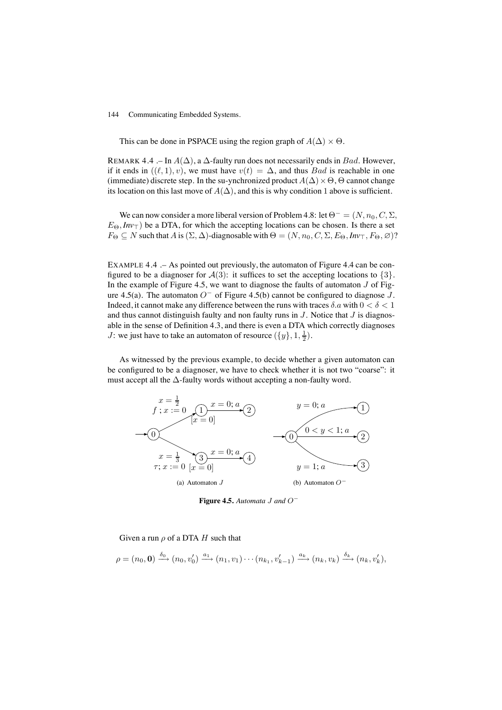This can be done in PSPACE using the region graph of  $A(\Delta) \times \Theta$ .

REMARK 4.4 .– In  $A(\Delta)$ , a  $\Delta$ -faulty run does not necessarily ends in Bad. However, if it ends in  $((\ell, 1), v)$ , we must have  $v(t) = \Delta$ , and thus *Bad* is reachable in one (immediate) discrete step. In the su-ynchronized product  $A(\Delta) \times \Theta$ ,  $\Theta$  cannot change its location on this last move of  $A(\Delta)$ , and this is why condition 1 above is sufficient.

We can now consider a more liberal version of Problem 4.8: let  $\Theta^- = (N, n_0, C, \Sigma, \Sigma)$  $E_{\Theta}$ ,  $Inv_{\top}$ ) be a DTA, for which the accepting locations can be chosen. Is there a set  $F_{\Theta} \subseteq N$  such that A is  $(\Sigma, \Delta)$ -diagnosable with  $\Theta = (N, n_0, C, \Sigma, E_{\Theta}, Inv_{\top}, F_{\Theta}, \emptyset)$ ?

EXAMPLE 4.4 .– As pointed out previously, the automaton of Figure 4.4 can be configured to be a diagnoser for  $\mathcal{A}(3)$ : it suffices to set the accepting locations to  $\{3\}$ . In the example of Figure 4.5, we want to diagnose the faults of automaton  $J$  of Figure 4.5(a). The automaton  $O^-$  of Figure 4.5(b) cannot be configured to diagnose J. Indeed, it cannot make any difference between the runs with traces  $\delta a$  with  $0 < \delta < 1$ and thus cannot distinguish faulty and non faulty runs in  $J$ . Notice that  $J$  is diagnosable in the sense of Definition 4.3, and there is even a DTA which correctly diagnoses *J*: we just have to take an automaton of resource  $({y}, 1, \frac{1}{2})$ .

As witnessed by the previous example, to decide whether a given automaton can be configured to be a diagnoser, we have to check whether it is not two "coarse": it must accept all the  $\Delta$ -faulty words without accepting a non-faulty word.



**Figure 4.5.** *Automata* J *and* O<sup>−</sup>

Given a run  $\rho$  of a DTA H such that

$$
\rho = (n_0, \mathbf{0}) \xrightarrow{\delta_0} (n_0, v'_0) \xrightarrow{a_1} (n_1, v_1) \cdots (n_{k_1}, v'_{k-1}) \xrightarrow{a_k} (n_k, v_k) \xrightarrow{\delta_k} (n_k, v'_k),
$$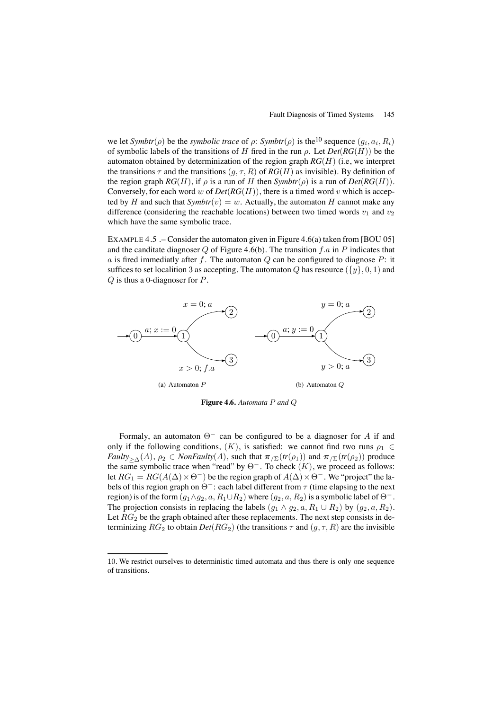we let  $Symbtr(\rho)$  be the *symbolic trace* of  $\rho$ :  $Symbtr(\rho)$  is the<sup>10</sup> sequence  $(q_i, a_i, R_i)$ of symbolic labels of the transitions of H fired in the run ρ. Let *Det*(*RG*(H)) be the automaton obtained by determinization of the region graph *RG*(H) (i.e, we interpret the transitions  $\tau$  and the transitions  $(g, \tau, R)$  of  $RG(H)$  as invisible). By definition of the region graph  $RG(H)$ , if  $\rho$  is a run of H then  $Symbtr(\rho)$  is a run of  $Det(RG(H))$ . Conversely, for each word w of  $Det(RG(H))$ , there is a timed word v which is accepted by H and such that  $Symbtr(v) = w$ . Actually, the automaton H cannot make any difference (considering the reachable locations) between two timed words  $v_1$  and  $v_2$ which have the same symbolic trace.

EXAMPLE 4.5 .– Consider the automaton given in Figure 4.6(a) taken from [BOU 05] and the canditate diagnoser Q of Figure 4.6(b). The transition f.a in P indicates that a is fired immediatly after f. The automaton  $Q$  can be configured to diagnose  $P$ : it suffices to set localition 3 as accepting. The automaton Q has resource  $({y}, 0, 1)$  and  $Q$  is thus a 0-diagnoser for  $P$ .



**Figure 4.6.** *Automata* P *and* Q

Formaly, an automaton  $\Theta^-$  can be configured to be a diagnoser for A if and only if the following conditions,  $(K)$ , is satisfied: we cannot find two runs  $\rho_1 \in$ *Faulty*<sub>>△</sub>(A),  $\rho_2 \in \text{NonFaulty}(A)$ , such that  $\pi_{\text{Z}}(tr(\rho_1))$  and  $\pi_{\text{Z}}(tr(\rho_2))$  produce the same symbolic trace when "read" by  $\Theta^-$ . To check  $(K)$ , we proceed as follows: let  $RG_1 = RG(A(\Delta) \times \Theta^-)$  be the region graph of  $A(\Delta) \times \Theta^-$ . We "project" the labels of this region graph on  $\Theta^-$ : each label different from  $\tau$  (time elapsing to the next region) is of the form  $(g_1 \wedge g_2, a, R_1 \cup R_2)$  where  $(g_2, a, R_2)$  is a symbolic label of  $\Theta^-$ . The projection consists in replacing the labels  $(g_1 \wedge g_2, a, R_1 \cup R_2)$  by  $(g_2, a, R_2)$ . Let  $RG<sub>2</sub>$  be the graph obtained after these replacements. The next step consists in determinizing  $RG_2$  to obtain  $Det(RG_2)$  (the transitions  $\tau$  and  $(g, \tau, R)$  are the invisible

<sup>10</sup>. We restrict ourselves to deterministic timed automata and thus there is only one sequence of transitions.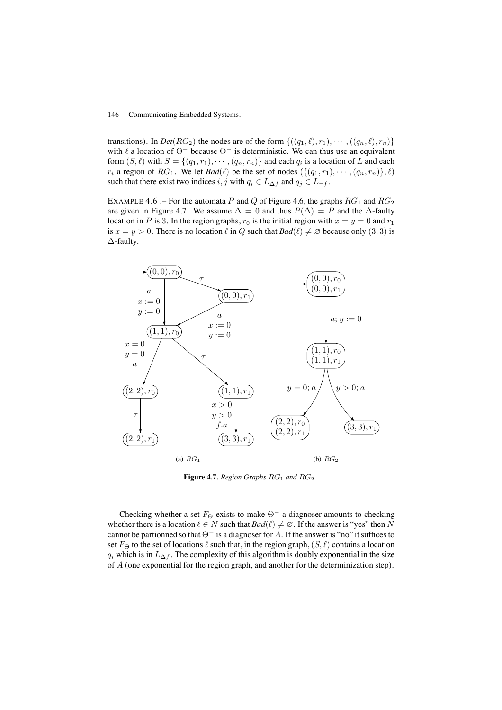transitions). In *Det*( $RG_2$ ) the nodes are of the form  $\{((q_1, \ell), r_1), \cdots, ((q_n, \ell), r_n)\}$ with  $\ell$  a location of  $\Theta^-$  because  $\Theta^-$  is deterministic. We can thus use an equivalent form  $(S, \ell)$  with  $S = \{(q_1, r_1), \cdots, (q_n, r_n)\}\$  and each  $q_i$  is a location of L and each r<sub>i</sub> a region of RG<sub>1</sub>. We let  $Bad(\ell)$  be the set of nodes  $(\{(q_1, r_1), \cdots, (q_n, r_n)\}, \ell)$ such that there exist two indices i, j with  $q_i \in L_{\Delta f}$  and  $q_j \in L_{\neg f}$ .

EXAMPLE 4.6 .– For the automata P and Q of Figure 4.6, the graphs  $RG<sub>1</sub>$  and  $RG<sub>2</sub>$ are given in Figure 4.7. We assume  $\Delta = 0$  and thus  $P(\Delta) = P$  and the  $\Delta$ -faulty location in P is 3. In the region graphs,  $r_0$  is the initial region with  $x = y = 0$  and  $r_1$ is  $x = y > 0$ . There is no location  $\ell$  in Q such that  $Bad(\ell) \neq \emptyset$  because only (3, 3) is ∆-faulty.



**Figure 4.7.** Region Graphs RG<sub>1</sub> and RG<sub>2</sub>

Checking whether a set  $F_{\Theta}$  exists to make  $\Theta^-$  a diagnoser amounts to checking whether there is a location  $\ell \in N$  such that  $Bad(\ell) \neq \emptyset$ . If the answer is "yes" then N cannot be partionned so that  $\Theta^-$  is a diagnoser for A. If the answer is "no" it suffices to set  $F_{\Theta}$  to the set of locations  $\ell$  such that, in the region graph,  $(S, \ell)$  contains a location  $q_i$  which is in  $L_{\Delta f}$ . The complexity of this algorithm is doubly exponential in the size of A (one exponential for the region graph, and another for the determinization step).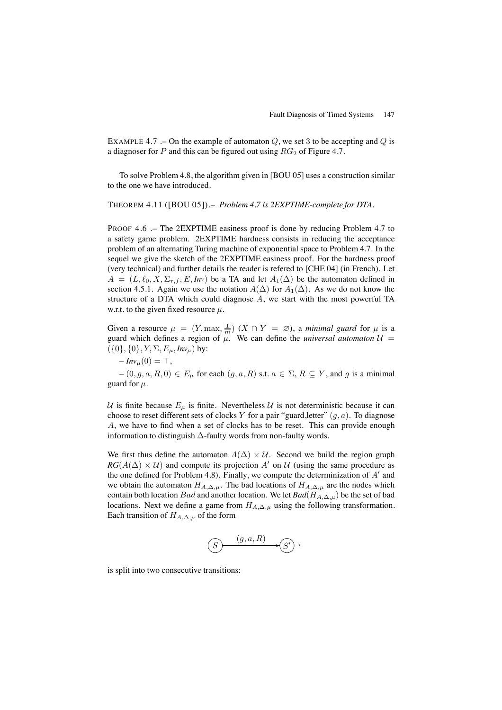EXAMPLE 4.7 .– On the example of automaton  $Q$ , we set 3 to be accepting and  $Q$  is a diagnoser for  $P$  and this can be figured out using  $RG<sub>2</sub>$  of Figure 4.7.

To solve Problem 4.8, the algorithm given in [BOU 05] uses a construction similar to the one we have introduced.

THEOREM 4.11 ([BOU 05]).– *Problem 4.7 is 2EXPTIME-complete for DTA.*

PROOF 4.6 .– The 2EXPTIME easiness proof is done by reducing Problem 4.7 to a safety game problem. 2EXPTIME hardness consists in reducing the acceptance problem of an alternating Turing machine of exponential space to Problem 4.7. In the sequel we give the sketch of the 2EXPTIME easiness proof. For the hardness proof (very technical) and further details the reader is refered to [CHE 04] (in French). Let  $A = (L, \ell_0, X, \Sigma_{\tau, f}, E, Inv)$  be a TA and let  $A_1(\Delta)$  be the automaton defined in section 4.5.1. Again we use the notation  $A(\Delta)$  for  $A_1(\Delta)$ . As we do not know the structure of a DTA which could diagnose A, we start with the most powerful TA w.r.t. to the given fixed resource  $\mu$ .

Given a resource  $\mu = (Y, \max, \frac{1}{m})$   $(X \cap Y = \emptyset)$ , a *minimal guard* for  $\mu$  is a guard which defines a region of  $\mu$ . We can define the *universal automaton*  $\mathcal{U}$  =  $({0}, {0}, Y, \Sigma, E_\mu, Inv_\mu)$  by:

 $- Im v<sub>\mu</sub>(0) = \top,$ 

 $-(0, g, a, R, 0) \in E_u$  for each  $(g, a, R)$  s.t.  $a \in \Sigma$ ,  $R \subseteq Y$ , and g is a minimal guard for  $\mu$ .

U is finite because  $E_{\mu}$  is finite. Nevertheless U is not deterministic because it can choose to reset different sets of clocks Y for a pair "guard, letter"  $(g, a)$ . To diagnose A, we have to find when a set of clocks has to be reset. This can provide enough information to distinguish ∆-faulty words from non-faulty words.

We first thus define the automaton  $A(\Delta) \times U$ . Second we build the region graph  $RG(A(\Delta) \times U)$  and compute its projection A' on U (using the same procedure as the one defined for Problem 4.8). Finally, we compute the determinization of  $A'$  and we obtain the automaton  $H_{A,\Delta,\mu}$ . The bad locations of  $H_{A,\Delta,\mu}$  are the nodes which contain both location Bad and another location. We let  $Bad(H_{A,\Delta,\mu})$  be the set of bad locations. Next we define a game from  $H_{A,\Delta,\mu}$  using the following transformation. Each transition of  $H_{A,\Delta,\mu}$  of the form

$$
(S) \xrightarrow{(g,a,R)} (S')
$$

is split into two consecutive transitions: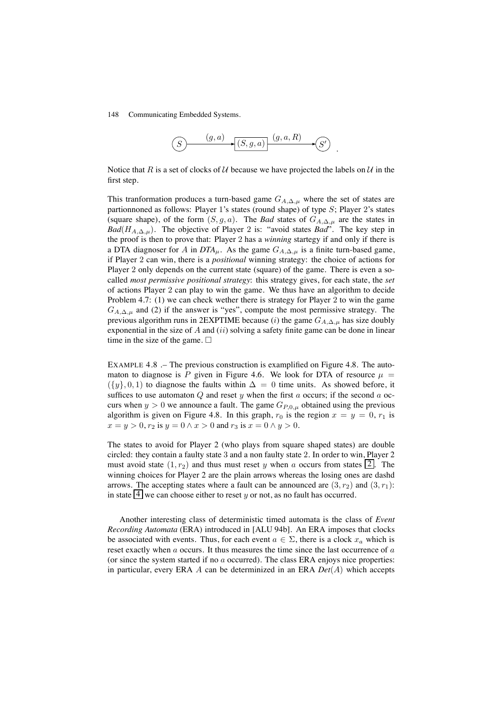

Notice that R is a set of clocks of U because we have projected the labels on U in the first step.

This tranformation produces a turn-based game  $G_{A,\Delta,\mu}$  where the set of states are partionnoned as follows: Player 1's states (round shape) of type S; Player 2's states (square shape), of the form  $(S, g, a)$ . The *Bad* states of  $G_{A,\Delta,\mu}$  are the states in *Bad*( $H_{A,\Delta,\mu}$ ). The objective of Player 2 is: "avoid states *Bad*". The key step in the proof is then to prove that: Player 2 has a *winning* startegy if and only if there is a DTA diagnoser for A in  $DTA<sub>\mu</sub>$ . As the game  $G<sub>A,\Delta,\mu</sub>$  is a finite turn-based game, if Player 2 can win, there is a *positional* winning strategy: the choice of actions for Player 2 only depends on the current state (square) of the game. There is even a socalled *most permissive positional strategy*: this strategy gives, for each state, the *set* of actions Player 2 can play to win the game. We thus have an algorithm to decide Problem 4.7: (1) we can check wether there is strategy for Player 2 to win the game  $G_{A,\Delta,\mu}$  and (2) if the answer is "yes", compute the most permissive strategy. The previous algorithm runs in 2EXPTIME because (i) the game  $G_{A,\Delta,\mu}$  has size doubly exponential in the size of  $A$  and  $(ii)$  solving a safety finite game can be done in linear time in the size of the game.  $\Box$ 

EXAMPLE 4.8 .– The previous construction is examplified on Figure 4.8. The automaton to diagnose is P given in Figure 4.6. We look for DTA of resource  $\mu =$  $({y}, 0, 1)$  to diagnose the faults within  $\Delta = 0$  time units. As showed before, it suffices to use automaton  $Q$  and reset y when the first a occurs; if the second a occurs when  $y > 0$  we announce a fault. The game  $G_{P,0,\mu}$  obtained using the previous algorithm is given on Figure 4.8. In this graph,  $r_0$  is the region  $x = y = 0, r_1$  is  $x = y > 0, r_2$  is  $y = 0 \land x > 0$  and  $r_3$  is  $x = 0 \land y > 0$ .

The states to avoid for Player 2 (who plays from square shaped states) are double circled: they contain a faulty state 3 and a non faulty state 2. In order to win, Player 2 must avoid state  $(1, r_2)$  and thus must reset y when a occurs from states  $\boxed{2}$ . The winning choices for Player 2 are the plain arrows whereas the losing ones are dashd arrows. The accepting states where a fault can be announced are  $(3, r_2)$  and  $(3, r_1)$ : in state  $\boxed{4}$  we can choose either to reset y or not, as no fault has occurred.

Another interesting class of deterministic timed automata is the class of *Event Recording Automata* (ERA) introduced in [ALU 94b]. An ERA imposes that clocks be associated with events. Thus, for each event  $a \in \Sigma$ , there is a clock  $x_a$  which is reset exactly when a occurs. It thus measures the time since the last occurrence of a (or since the system started if no a occurred). The class ERA enjoys nice properties: in particular, every ERA A can be determinized in an ERA *Det*(A) which accepts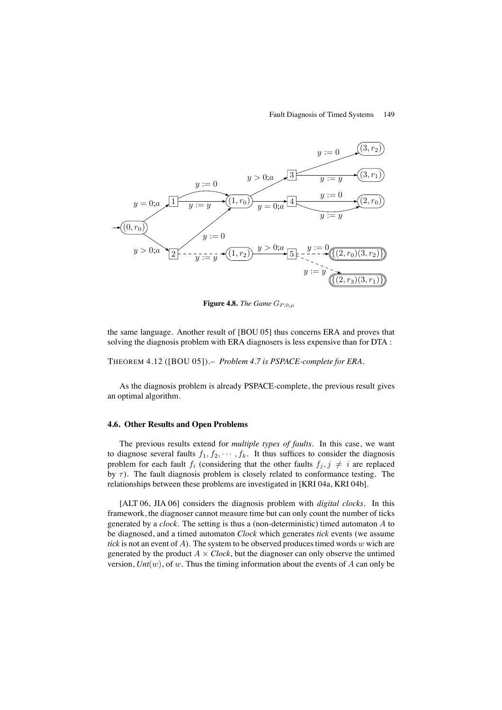#### Fault Diagnosis of Timed Systems 149



**Figure 4.8.** *The Game*  $G_{P,0,\mu}$ 

the same language. Another result of [BOU 05] thus concerns ERA and proves that solving the diagnosis problem with ERA diagnosers is less expensive than for DTA :

THEOREM 4.12 ([BOU 05]).– *Problem 4.7 is PSPACE-complete for ERA.*

As the diagnosis problem is already PSPACE-complete, the previous result gives an optimal algorithm.

#### **4.6. Other Results and Open Problems**

The previous results extend for *multiple types of faults*. In this case, we want to diagnose several faults  $f_1, f_2, \cdots, f_k$ . It thus suffices to consider the diagnosis problem for each fault  $f_i$  (considering that the other faults  $f_j, j \neq i$  are replaced by  $\tau$ ). The fault diagnosis problem is closely related to conformance testing. The relationships between these problems are investigated in [KRI 04a, KRI 04b].

[ALT 06, JIA 06] considers the diagnosis problem with *digital clocks*. In this framework, the diagnoser cannot measure time but can only count the number of ticks generated by a *clock*. The setting is thus a (non-deterministic) timed automaton A to be diagnosed, and a timed automaton *Clock* which generates *tick* events (we assume *tick* is not an event of  $A$ ). The system to be observed produces timed words w wich are generated by the product  $A \times \text{Clock}$ , but the diagnoser can only observe the untimed version,  $Unt(w)$ , of w. Thus the timing information about the events of A can only be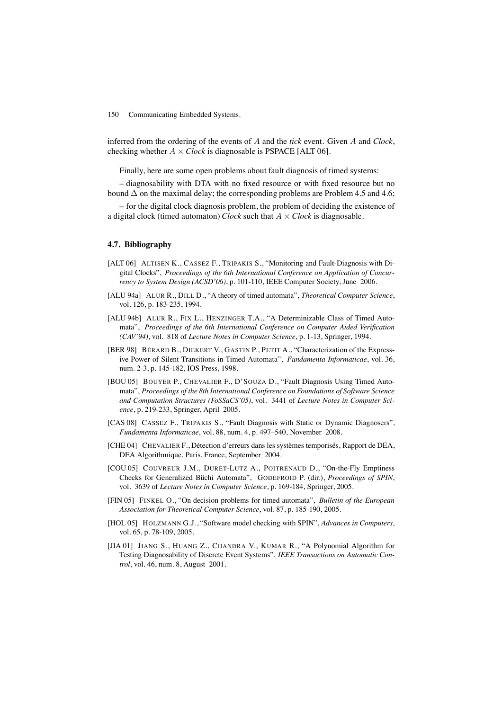inferred from the ordering of the events of A and the *tick* event. Given A and *Clock*, checking whether  $A \times \text{Clock}$  is diagnosable is PSPACE [ALT 06].

Finally, here are some open problems about fault diagnosis of timed systems:

– diagnosability with DTA with no fixed resource or with fixed resource but no bound  $\Delta$  on the maximal delay; the corresponding problems are Problem 4.5 and 4.6;

– for the digital clock diagnosis problem, the problem of deciding the existence of a digital clock (timed automaton) *Clock* such that  $A \times \text{Clock}$  is diagnosable.

### **4.7. Bibliography**

- [ALT 06] ALTISEN K., CASSEZ F., TRIPAKIS S., "Monitoring and Fault-Diagnosis with Digital Clocks", *Proceedings of the 6th International Conference on Application of Concurrency to System Design (ACSD'06)*, p. 101-110, IEEE Computer Society, June 2006.
- [ALU 94a] ALUR R., DILL D., "A theory of timed automata", *Theoretical Computer Science*, vol. 126, p. 183-235, 1994.
- [ALU 94b] ALUR R., FIX L., HENZINGER T.A., "A Determinizable Class of Timed Automata", *Proceedings of the 6th International Conference on Computer Aided Verification (CAV'94)*, vol. 818 of *Lecture Notes in Computer Science*, p. 1-13, Springer, 1994.
- [BER 98] BÉRARD B., DIEKERT V., GASTIN P., PETIT A., "Characterization of the Expressive Power of Silent Transitions in Timed Automata", *Fundamenta Informaticae*, vol. 36, num. 2-3, p. 145-182, IOS Press, 1998.
- [BOU 05] BOUYER P., CHEVALIER F., D'SOUZA D., "Fault Diagnosis Using Timed Automata", *Proceedings of the 8th International Conference on Foundations of Software Science and Computation Structures (FoSSaCS'05)*, vol. 3441 of *Lecture Notes in Computer Science*, p. 219-233, Springer, April 2005.
- [CAS 08] CASSEZ F., TRIPAKIS S., "Fault Diagnosis with Static or Dynamic Diagnosers", *Fundamenta Informaticae*, vol. 88, num. 4, p. 497–540, November 2008.
- [CHE 04] CHEVALIER F., Détection d'erreurs dans les systèmes temporisés, Rapport de DEA, DEA Algorithmique, Paris, France, September 2004.
- [COU 05] COUVREUR J.M., DURET-LUTZ A., POITRENAUD D., "On-the-Fly Emptiness Checks for Generalized Büchi Automata", GODEFROID P. (dir.), *Proceedings of SPIN*, vol. 3639 of *Lecture Notes in Computer Science*, p. 169-184, Springer, 2005.
- [FIN 05] FINKEL O., "On decision problems for timed automata", *Bulletin of the European Association for Theoretical Computer Science*, vol. 87, p. 185-190, 2005.
- [HOL 05] HOLZMANN G.J., "Software model checking with SPIN", *Advances in Computers*, vol. 65, p. 78-109, 2005.
- [JIA 01] JIANG S., HUANG Z., CHANDRA V., KUMAR R., "A Polynomial Algorithm for Testing Diagnosability of Discrete Event Systems", *IEEE Transactions on Automatic Control*, vol. 46, num. 8, August 2001.